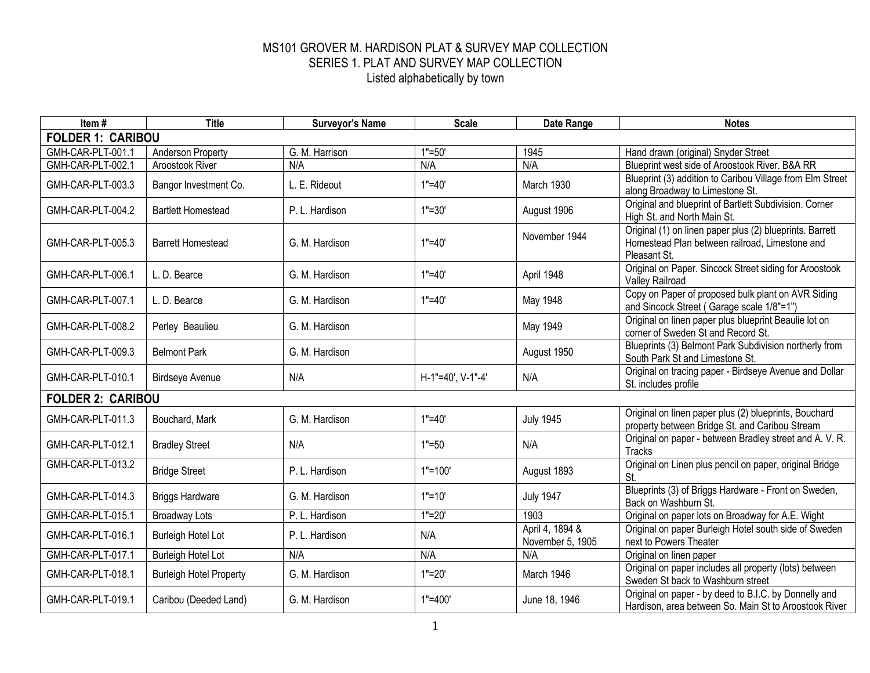| Item#                    | <b>Title</b>                   | <b>Surveyor's Name</b> | <b>Scale</b>         | Date Range                          | <b>Notes</b>                                                                                                               |  |  |  |  |
|--------------------------|--------------------------------|------------------------|----------------------|-------------------------------------|----------------------------------------------------------------------------------------------------------------------------|--|--|--|--|
| <b>FOLDER 1: CARIBOU</b> |                                |                        |                      |                                     |                                                                                                                            |  |  |  |  |
| GMH-CAR-PLT-001.1        | <b>Anderson Property</b>       | G. M. Harrison         | $\overline{1}$ "=50' | 1945                                | Hand drawn (original) Snyder Street                                                                                        |  |  |  |  |
| GMH-CAR-PLT-002.1        | <b>Aroostook River</b>         | N/A                    | N/A                  | N/A                                 | Blueprint west side of Aroostook River. B&A RR                                                                             |  |  |  |  |
| GMH-CAR-PLT-003.3        | Bangor Investment Co.          | L. E. Rideout          | $1" = 40'$           | March 1930                          | Blueprint (3) addition to Caribou Village from Elm Street<br>along Broadway to Limestone St.                               |  |  |  |  |
| GMH-CAR-PLT-004.2        | <b>Bartlett Homestead</b>      | P. L. Hardison         | $1" = 30'$           | August 1906                         | Original and blueprint of Bartlett Subdivision. Corner<br>High St. and North Main St.                                      |  |  |  |  |
| GMH-CAR-PLT-005.3        | <b>Barrett Homestead</b>       | G. M. Hardison         | $1" = 40'$           | November 1944                       | Original (1) on linen paper plus (2) blueprints. Barrett<br>Homestead Plan between railroad, Limestone and<br>Pleasant St. |  |  |  |  |
| GMH-CAR-PLT-006.1        | L. D. Bearce                   | G. M. Hardison         | $1" = 40'$           | April 1948                          | Original on Paper. Sincock Street siding for Aroostook<br><b>Valley Railroad</b>                                           |  |  |  |  |
| GMH-CAR-PLT-007.1        | L. D. Bearce                   | G. M. Hardison         | $1" = 40'$           | May 1948                            | Copy on Paper of proposed bulk plant on AVR Siding<br>and Sincock Street (Garage scale 1/8"=1")                            |  |  |  |  |
| GMH-CAR-PLT-008.2        | Perley Beaulieu                | G. M. Hardison         |                      | May 1949                            | Original on linen paper plus blueprint Beaulie lot on<br>corner of Sweden St and Record St.                                |  |  |  |  |
| GMH-CAR-PLT-009.3        | <b>Belmont Park</b>            | G. M. Hardison         |                      | August 1950                         | Blueprints (3) Belmont Park Subdivision northerly from<br>South Park St and Limestone St.                                  |  |  |  |  |
| GMH-CAR-PLT-010.1        | <b>Birdseye Avenue</b>         | N/A                    | H-1"=40', V-1"-4'    | N/A                                 | Original on tracing paper - Birdseye Avenue and Dollar<br>St. includes profile                                             |  |  |  |  |
| <b>FOLDER 2: CARIBOU</b> |                                |                        |                      |                                     |                                                                                                                            |  |  |  |  |
| GMH-CAR-PLT-011.3        | Bouchard, Mark                 | G. M. Hardison         | $1" = 40'$           | <b>July 1945</b>                    | Original on linen paper plus (2) blueprints, Bouchard<br>property between Bridge St. and Caribou Stream                    |  |  |  |  |
| GMH-CAR-PLT-012.1        | <b>Bradley Street</b>          | N/A                    | $1" = 50$            | N/A                                 | Original on paper - between Bradley street and A. V. R.<br>Tracks                                                          |  |  |  |  |
| GMH-CAR-PLT-013.2        | <b>Bridge Street</b>           | P. L. Hardison         | $1"=100"$            | August 1893                         | Original on Linen plus pencil on paper, original Bridge<br>St.                                                             |  |  |  |  |
| GMH-CAR-PLT-014.3        | <b>Briggs Hardware</b>         | G. M. Hardison         | $1" = 10'$           | <b>July 1947</b>                    | Blueprints (3) of Briggs Hardware - Front on Sweden,<br>Back on Washburn St.                                               |  |  |  |  |
| GMH-CAR-PLT-015.1        | <b>Broadway Lots</b>           | P. L. Hardison         | $1" = 20'$           | 1903                                | Original on paper lots on Broadway for A.E. Wight                                                                          |  |  |  |  |
| GMH-CAR-PLT-016.1        | <b>Burleigh Hotel Lot</b>      | P. L. Hardison         | N/A                  | April 4, 1894 &<br>November 5, 1905 | Original on paper Burleigh Hotel south side of Sweden<br>next to Powers Theater                                            |  |  |  |  |
| GMH-CAR-PLT-017.1        | <b>Burleigh Hotel Lot</b>      | N/A                    | N/A                  | N/A                                 | Original on linen paper                                                                                                    |  |  |  |  |
| GMH-CAR-PLT-018.1        | <b>Burleigh Hotel Property</b> | G. M. Hardison         | $1" = 20'$           | March 1946                          | Original on paper includes all property (lots) between<br>Sweden St back to Washburn street                                |  |  |  |  |
| GMH-CAR-PLT-019.1        | Caribou (Deeded Land)          | G. M. Hardison         | $1" = 400'$          | June 18, 1946                       | Original on paper - by deed to B.I.C. by Donnelly and<br>Hardison, area between So. Main St to Aroostook River             |  |  |  |  |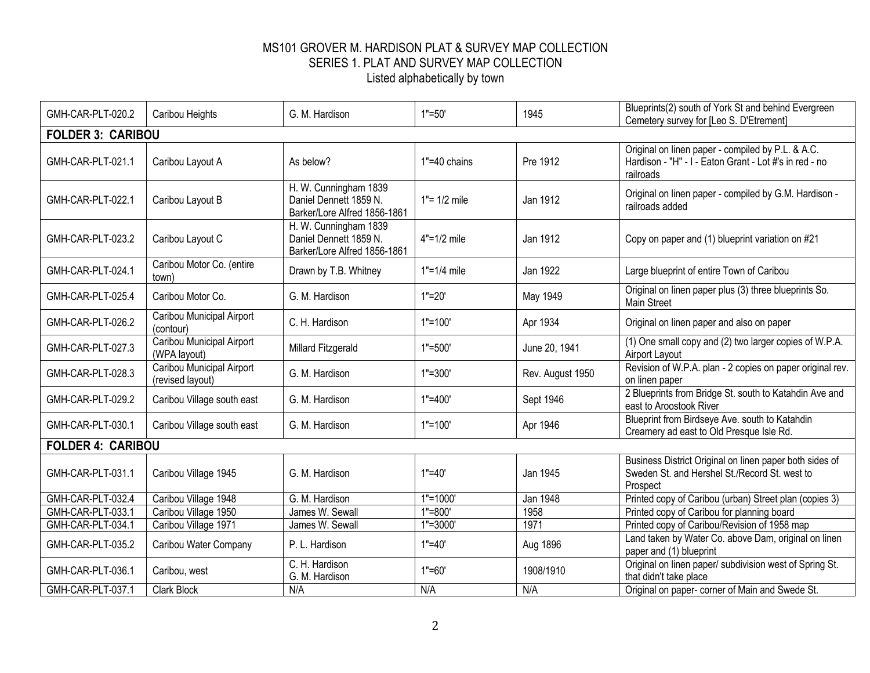| GMH-CAR-PLT-020.2        | Caribou Heights                               | G. M. Hardison                                                                  | $1" = 50'$      | 1945             | Blueprints(2) south of York St and behind Evergreen<br>Cemetery survey for [Leo S. D'Etrement]                           |  |  |  |
|--------------------------|-----------------------------------------------|---------------------------------------------------------------------------------|-----------------|------------------|--------------------------------------------------------------------------------------------------------------------------|--|--|--|
| <b>FOLDER 3: CARIBOU</b> |                                               |                                                                                 |                 |                  |                                                                                                                          |  |  |  |
| GMH-CAR-PLT-021.1        | Caribou Layout A                              | As below?                                                                       | 1"=40 chains    | Pre 1912         | Original on linen paper - compiled by P.L. & A.C.<br>Hardison - "H" - I - Eaton Grant - Lot #'s in red - no<br>railroads |  |  |  |
| GMH-CAR-PLT-022.1        | Caribou Layout B                              | H. W. Cunningham 1839<br>Daniel Dennett 1859 N.<br>Barker/Lore Alfred 1856-1861 | $1" = 1/2$ mile | Jan 1912         | Original on linen paper - compiled by G.M. Hardison -<br>railroads added                                                 |  |  |  |
| GMH-CAR-PLT-023.2        | Caribou Layout C                              | H. W. Cunningham 1839<br>Daniel Dennett 1859 N.<br>Barker/Lore Alfred 1856-1861 | $4" = 1/2$ mile | Jan 1912         | Copy on paper and (1) blueprint variation on #21                                                                         |  |  |  |
| GMH-CAR-PLT-024.1        | Caribou Motor Co. (entire<br>town)            | Drawn by T.B. Whitney                                                           | 1"=1/4 mile     | Jan 1922         | Large blueprint of entire Town of Caribou                                                                                |  |  |  |
| GMH-CAR-PLT-025.4        | Caribou Motor Co.                             | G. M. Hardison                                                                  | $1" = 20'$      | May 1949         | Original on linen paper plus (3) three blueprints So.<br><b>Main Street</b>                                              |  |  |  |
| GMH-CAR-PLT-026.2        | Caribou Municipal Airport<br>(contour)        | C. H. Hardison                                                                  | $1" = 100'$     | Apr 1934         | Original on linen paper and also on paper                                                                                |  |  |  |
| GMH-CAR-PLT-027.3        | Caribou Municipal Airport<br>(WPA layout)     | Millard Fitzgerald                                                              | $1" = 500'$     | June 20, 1941    | (1) One small copy and (2) two larger copies of W.P.A.<br>Airport Layout                                                 |  |  |  |
| GMH-CAR-PLT-028.3        | Caribou Municipal Airport<br>(revised layout) | G. M. Hardison                                                                  | $1" = 300'$     | Rev. August 1950 | Revision of W.P.A. plan - 2 copies on paper original rev.<br>on linen paper                                              |  |  |  |
| GMH-CAR-PLT-029.2        | Caribou Village south east                    | G. M. Hardison                                                                  | $1" = 400'$     | Sept 1946        | 2 Blueprints from Bridge St. south to Katahdin Ave and<br>east to Aroostook River                                        |  |  |  |
| GMH-CAR-PLT-030.1        | Caribou Village south east                    | G. M. Hardison                                                                  | $1" = 100'$     | Apr 1946         | Blueprint from Birdseye Ave. south to Katahdin<br>Creamery ad east to Old Presque Isle Rd.                               |  |  |  |
| <b>FOLDER 4: CARIBOU</b> |                                               |                                                                                 |                 |                  |                                                                                                                          |  |  |  |
| GMH-CAR-PLT-031.1        | Caribou Village 1945                          | G. M. Hardison                                                                  | $1" = 40'$      | Jan 1945         | Business District Original on linen paper both sides of<br>Sweden St. and Hershel St./Record St. west to<br>Prospect     |  |  |  |
| GMH-CAR-PLT-032.4        | Caribou Village 1948                          | G. M. Hardison                                                                  | $1" = 1000'$    | Jan 1948         | Printed copy of Caribou (urban) Street plan (copies 3)                                                                   |  |  |  |
| GMH-CAR-PLT-033.1        | Caribou Village 1950                          | James W. Sewall                                                                 | $1" = 800'$     | 1958             | Printed copy of Caribou for planning board                                                                               |  |  |  |
| GMH-CAR-PLT-034.1        | Caribou Village 1971                          | James W. Sewall                                                                 | $1" = 3000"$    | 1971             | Printed copy of Caribou/Revision of 1958 map                                                                             |  |  |  |
| GMH-CAR-PLT-035.2        | Caribou Water Company                         | P. L. Hardison                                                                  | $1" = 40'$      | Aug 1896         | Land taken by Water Co. above Dam, original on linen<br>paper and (1) blueprint                                          |  |  |  |
| GMH-CAR-PLT-036.1        | Caribou, west                                 | C. H. Hardison<br>G. M. Hardison                                                | $1" = 60'$      | 1908/1910        | Original on linen paper/ subdivision west of Spring St.<br>that didn't take place                                        |  |  |  |
| GMH-CAR-PLT-037.1        | <b>Clark Block</b>                            | N/A                                                                             | N/A             | N/A              | Original on paper- corner of Main and Swede St.                                                                          |  |  |  |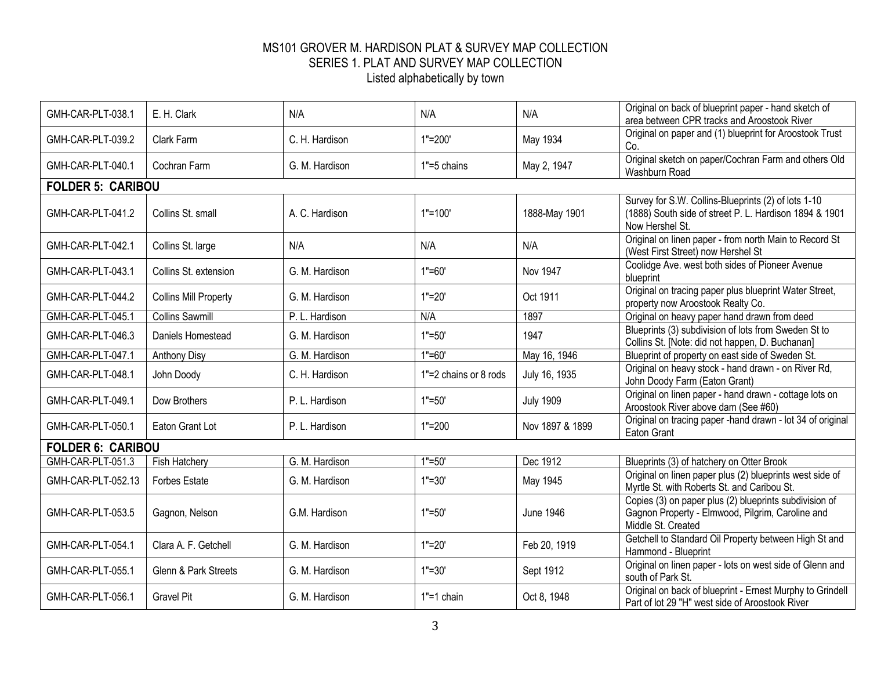| GMH-CAR-PLT-038.1        | E. H. Clark                  | N/A            | N/A                   | N/A              | Original on back of blueprint paper - hand sketch of<br>area between CPR tracks and Aroostook River                              |
|--------------------------|------------------------------|----------------|-----------------------|------------------|----------------------------------------------------------------------------------------------------------------------------------|
| GMH-CAR-PLT-039.2        | Clark Farm                   | C. H. Hardison | $1" = 200'$           | May 1934         | Original on paper and (1) blueprint for Aroostook Trust<br>Co.                                                                   |
| GMH-CAR-PLT-040.1        | Cochran Farm                 | G. M. Hardison | 1"=5 chains           | May 2, 1947      | Original sketch on paper/Cochran Farm and others Old<br>Washburn Road                                                            |
| <b>FOLDER 5: CARIBOU</b> |                              |                |                       |                  |                                                                                                                                  |
| GMH-CAR-PLT-041.2        | Collins St. small            | A. C. Hardison | $1" = 100'$           | 1888-May 1901    | Survey for S.W. Collins-Blueprints (2) of lots 1-10<br>(1888) South side of street P. L. Hardison 1894 & 1901<br>Now Hershel St. |
| GMH-CAR-PLT-042.1        | Collins St. large            | N/A            | N/A                   | N/A              | Original on linen paper - from north Main to Record St<br>(West First Street) now Hershel St                                     |
| GMH-CAR-PLT-043.1        | Collins St. extension        | G. M. Hardison | $1" = 60'$            | Nov 1947         | Coolidge Ave. west both sides of Pioneer Avenue<br>blueprint                                                                     |
| GMH-CAR-PLT-044.2        | <b>Collins Mill Property</b> | G. M. Hardison | $1" = 20'$            | Oct 1911         | Original on tracing paper plus blueprint Water Street,<br>property now Aroostook Realty Co.                                      |
| GMH-CAR-PLT-045.1        | <b>Collins Sawmill</b>       | P. L. Hardison | N/A                   | 1897             | Original on heavy paper hand drawn from deed                                                                                     |
| GMH-CAR-PLT-046.3        | Daniels Homestead            | G. M. Hardison | $1" = 50'$            | 1947             | Blueprints (3) subdivision of lots from Sweden St to<br>Collins St. [Note: did not happen, D. Buchanan]                          |
| GMH-CAR-PLT-047.1        | <b>Anthony Disy</b>          | G. M. Hardison | $1" = 60'$            | May 16, 1946     | Blueprint of property on east side of Sweden St.                                                                                 |
| GMH-CAR-PLT-048.1        | John Doody                   | C. H. Hardison | 1"=2 chains or 8 rods | July 16, 1935    | Original on heavy stock - hand drawn - on River Rd,<br>John Doody Farm (Eaton Grant)                                             |
| GMH-CAR-PLT-049.1        | Dow Brothers                 | P. L. Hardison | $1" = 50'$            | <b>July 1909</b> | Original on linen paper - hand drawn - cottage lots on<br>Aroostook River above dam (See #60)                                    |
| GMH-CAR-PLT-050.1        | Eaton Grant Lot              | P. L. Hardison | $1" = 200$            | Nov 1897 & 1899  | Original on tracing paper -hand drawn - lot 34 of original<br>Eaton Grant                                                        |
| <b>FOLDER 6: CARIBOU</b> |                              |                |                       |                  |                                                                                                                                  |
| GMH-CAR-PLT-051.3        | <b>Fish Hatchery</b>         | G. M. Hardison | $1" = 50'$            | Dec 1912         | Blueprints (3) of hatchery on Otter Brook                                                                                        |
| GMH-CAR-PLT-052.13       | <b>Forbes Estate</b>         | G. M. Hardison | $1" = 30'$            | May 1945         | Original on linen paper plus (2) blueprints west side of<br>Myrtle St. with Roberts St. and Caribou St.                          |
| GMH-CAR-PLT-053.5        | Gagnon, Nelson               | G.M. Hardison  | $1" = 50"$            | <b>June 1946</b> | Copies (3) on paper plus (2) blueprints subdivision of<br>Gagnon Property - Elmwood, Pilgrim, Caroline and<br>Middle St. Created |
| GMH-CAR-PLT-054.1        | Clara A. F. Getchell         | G. M. Hardison | $1"=20"$              | Feb 20, 1919     | Getchell to Standard Oil Property between High St and<br>Hammond - Blueprint                                                     |
| GMH-CAR-PLT-055.1        | Glenn & Park Streets         | G. M. Hardison | $1" = 30'$            | Sept 1912        | Original on linen paper - lots on west side of Glenn and<br>south of Park St.                                                    |
| GMH-CAR-PLT-056.1        | <b>Gravel Pit</b>            | G. M. Hardison | $1" = 1$ chain        | Oct 8, 1948      | Original on back of blueprint - Ernest Murphy to Grindell<br>Part of lot 29 "H" west side of Aroostook River                     |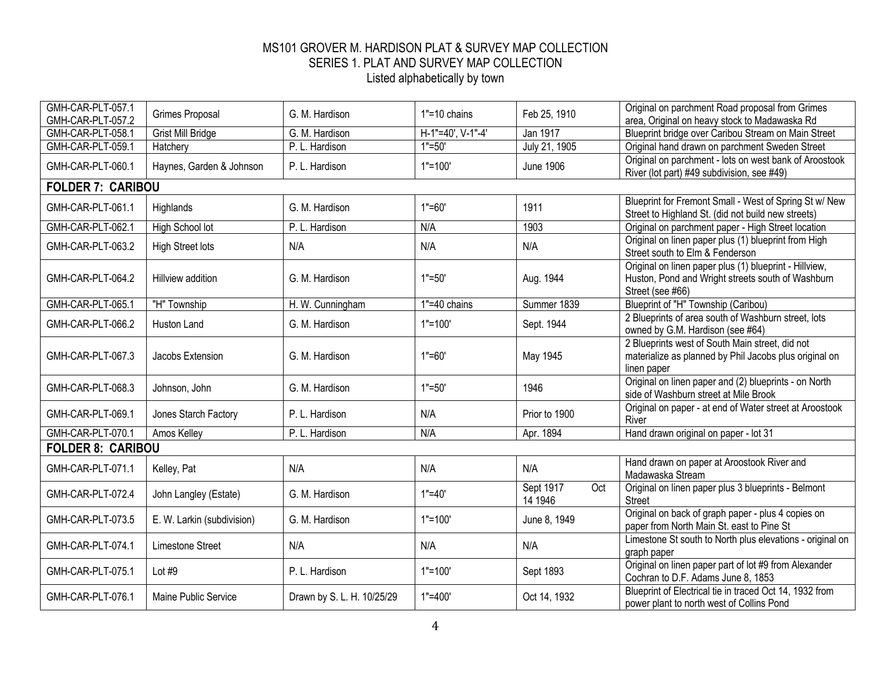| GMH-CAR-PLT-057.1<br>GMH-CAR-PLT-057.2 | Grimes Proposal            | G. M. Hardison             | 1"=10 chains      | Feb 25, 1910                | Original on parchment Road proposal from Grimes<br>area, Original on heavy stock to Madawaska Rd                                |
|----------------------------------------|----------------------------|----------------------------|-------------------|-----------------------------|---------------------------------------------------------------------------------------------------------------------------------|
| GMH-CAR-PLT-058.1                      | <b>Grist Mill Bridge</b>   | G. M. Hardison             | H-1"=40', V-1"-4' | Jan 1917                    | Blueprint bridge over Caribou Stream on Main Street                                                                             |
| GMH-CAR-PLT-059.1                      | Hatchery                   | P. L. Hardison             | $1" = 50'$        | July 21, 1905               | Original hand drawn on parchment Sweden Street                                                                                  |
| GMH-CAR-PLT-060.1                      | Haynes, Garden & Johnson   | P. L. Hardison             | $1" = 100"$       | <b>June 1906</b>            | Original on parchment - lots on west bank of Aroostook<br>River (lot part) #49 subdivision, see #49)                            |
| <b>FOLDER 7: CARIBOU</b>               |                            |                            |                   |                             |                                                                                                                                 |
| GMH-CAR-PLT-061.1                      | Highlands                  | G. M. Hardison             | $1" = 60'$        | 1911                        | Blueprint for Fremont Small - West of Spring St w/ New<br>Street to Highland St. (did not build new streets)                    |
| GMH-CAR-PLT-062.1                      | High School lot            | P. L. Hardison             | N/A               | 1903                        | Original on parchment paper - High Street location                                                                              |
| GMH-CAR-PLT-063.2                      | <b>High Street lots</b>    | N/A                        | N/A               | N/A                         | Original on linen paper plus (1) blueprint from High<br>Street south to Elm & Fenderson                                         |
| GMH-CAR-PLT-064.2                      | <b>Hillview addition</b>   | G. M. Hardison             | $1" = 50'$        | Aug. 1944                   | Original on linen paper plus (1) blueprint - Hillview,<br>Huston, Pond and Wright streets south of Washburn<br>Street (see #66) |
| GMH-CAR-PLT-065.1                      | "H" Township               | H. W. Cunningham           | 1"=40 chains      | Summer 1839                 | Blueprint of "H" Township (Caribou)                                                                                             |
| GMH-CAR-PLT-066.2                      | Huston Land                | G. M. Hardison             | $1" = 100"$       | Sept. 1944                  | 2 Blueprints of area south of Washburn street, lots<br>owned by G.M. Hardison (see #64)                                         |
| GMH-CAR-PLT-067.3                      | Jacobs Extension           | G. M. Hardison             | $1" = 60'$        | May 1945                    | 2 Blueprints west of South Main street, did not<br>materialize as planned by Phil Jacobs plus original on<br>linen paper        |
| GMH-CAR-PLT-068.3                      | Johnson, John              | G. M. Hardison             | $1" = 50'$        | 1946                        | Original on linen paper and (2) blueprints - on North<br>side of Washburn street at Mile Brook                                  |
| GMH-CAR-PLT-069.1                      | Jones Starch Factory       | P. L. Hardison             | N/A               | Prior to 1900               | Original on paper - at end of Water street at Aroostook<br>River                                                                |
| GMH-CAR-PLT-070.1                      | Amos Kelley                | P. L. Hardison             | N/A               | Apr. 1894                   | Hand drawn original on paper - lot 31                                                                                           |
| <b>FOLDER 8: CARIBOU</b>               |                            |                            |                   |                             |                                                                                                                                 |
| GMH-CAR-PLT-071.1                      | Kelley, Pat                | N/A                        | N/A               | N/A                         | Hand drawn on paper at Aroostook River and<br>Madawaska Stream                                                                  |
| GMH-CAR-PLT-072.4                      | John Langley (Estate)      | G. M. Hardison             | $1" = 40'$        | Sept 1917<br>Oct<br>14 1946 | Original on linen paper plus 3 blueprints - Belmont<br><b>Street</b>                                                            |
| GMH-CAR-PLT-073.5                      | E. W. Larkin (subdivision) | G. M. Hardison             | $1" = 100'$       | June 8, 1949                | Original on back of graph paper - plus 4 copies on<br>paper from North Main St. east to Pine St                                 |
| GMH-CAR-PLT-074.1                      | Limestone Street           | N/A                        | N/A               | N/A                         | Limestone St south to North plus elevations - original on<br>graph paper                                                        |
| GMH-CAR-PLT-075.1                      | Lot $#9$                   | P. L. Hardison             | $1" = 100'$       | Sept 1893                   | Original on linen paper part of lot #9 from Alexander<br>Cochran to D.F. Adams June 8, 1853                                     |
| GMH-CAR-PLT-076.1                      | Maine Public Service       | Drawn by S. L. H. 10/25/29 | $1" = 400'$       | Oct 14, 1932                | Blueprint of Electrical tie in traced Oct 14, 1932 from<br>power plant to north west of Collins Pond                            |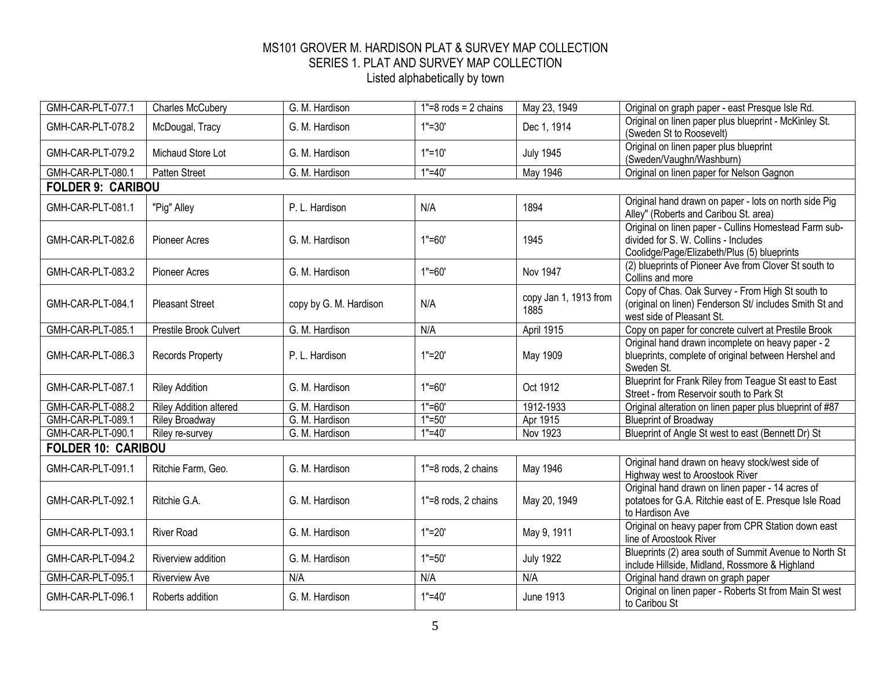| GMH-CAR-PLT-077.1         | <b>Charles McCubery</b>       | G. M. Hardison         | $1" = 8$ rods = 2 chains | May 23, 1949                  | Original on graph paper - east Presque Isle Rd.                                                                                              |
|---------------------------|-------------------------------|------------------------|--------------------------|-------------------------------|----------------------------------------------------------------------------------------------------------------------------------------------|
| GMH-CAR-PLT-078.2         | McDougal, Tracy               | G. M. Hardison         | $1" = 30'$               | Dec 1, 1914                   | Original on linen paper plus blueprint - McKinley St.<br>(Sweden St to Roosevelt)                                                            |
| GMH-CAR-PLT-079.2         | Michaud Store Lot             | G. M. Hardison         | $1" = 10'$               | <b>July 1945</b>              | Original on linen paper plus blueprint<br>(Sweden/Vaughn/Washburn)                                                                           |
| GMH-CAR-PLT-080.1         | <b>Patten Street</b>          | G. M. Hardison         | $1" = 40'$               | May 1946                      | Original on linen paper for Nelson Gagnon                                                                                                    |
| <b>FOLDER 9: CARIBOU</b>  |                               |                        |                          |                               |                                                                                                                                              |
| GMH-CAR-PLT-081.1         | "Pig" Alley                   | P. L. Hardison         | N/A                      | 1894                          | Original hand drawn on paper - lots on north side Pig<br>Alley" (Roberts and Caribou St. area)                                               |
| GMH-CAR-PLT-082.6         | <b>Pioneer Acres</b>          | G. M. Hardison         | $1" = 60'$               | 1945                          | Original on linen paper - Cullins Homestead Farm sub-<br>divided for S. W. Collins - Includes<br>Coolidge/Page/Elizabeth/Plus (5) blueprints |
| GMH-CAR-PLT-083.2         | <b>Pioneer Acres</b>          | G. M. Hardison         | $1" = 60'$               | <b>Nov 1947</b>               | (2) blueprints of Pioneer Ave from Clover St south to<br>Collins and more                                                                    |
| GMH-CAR-PLT-084.1         | <b>Pleasant Street</b>        | copy by G. M. Hardison | N/A                      | copy Jan 1, 1913 from<br>1885 | Copy of Chas. Oak Survey - From High St south to<br>(original on linen) Fenderson St/ includes Smith St and<br>west side of Pleasant St.     |
| GMH-CAR-PLT-085.1         | Prestile Brook Culvert        | G. M. Hardison         | N/A                      | April 1915                    | Copy on paper for concrete culvert at Prestile Brook                                                                                         |
| GMH-CAR-PLT-086.3         | <b>Records Property</b>       | P. L. Hardison         | $1" = 20'$               | May 1909                      | Original hand drawn incomplete on heavy paper - 2<br>blueprints, complete of original between Hershel and<br>Sweden St.                      |
| GMH-CAR-PLT-087.1         | <b>Riley Addition</b>         | G. M. Hardison         | $1" = 60'$               | Oct 1912                      | Blueprint for Frank Riley from Teague St east to East<br>Street - from Reservoir south to Park St                                            |
| GMH-CAR-PLT-088.2         | <b>Riley Addition altered</b> | G. M. Hardison         | $1" = 60'$               | 1912-1933                     | Original alteration on linen paper plus blueprint of #87                                                                                     |
| GMH-CAR-PLT-089.1         | <b>Riley Broadway</b>         | G. M. Hardison         | $1" = 50'$               | Apr 1915                      | <b>Blueprint of Broadway</b>                                                                                                                 |
| GMH-CAR-PLT-090.1         | Riley re-survey               | G. M. Hardison         | $1" = 40'$               | <b>Nov 1923</b>               | Blueprint of Angle St west to east (Bennett Dr) St                                                                                           |
| <b>FOLDER 10: CARIBOU</b> |                               |                        |                          |                               |                                                                                                                                              |
| GMH-CAR-PLT-091.1         | Ritchie Farm, Geo.            | G. M. Hardison         | 1"=8 rods, 2 chains      | May 1946                      | Original hand drawn on heavy stock/west side of<br>Highway west to Aroostook River                                                           |
| GMH-CAR-PLT-092.1         | Ritchie G.A.                  | G. M. Hardison         | 1"=8 rods, 2 chains      | May 20, 1949                  | Original hand drawn on linen paper - 14 acres of<br>potatoes for G.A. Ritchie east of E. Presque Isle Road<br>to Hardison Ave                |
| GMH-CAR-PLT-093.1         | <b>River Road</b>             | G. M. Hardison         | $1"=20'$                 | May 9, 1911                   | Original on heavy paper from CPR Station down east<br>line of Aroostook River                                                                |
| GMH-CAR-PLT-094.2         | Riverview addition            | G. M. Hardison         | $1" = 50'$               | <b>July 1922</b>              | Blueprints (2) area south of Summit Avenue to North St<br>include Hillside, Midland, Rossmore & Highland                                     |
| GMH-CAR-PLT-095.1         | <b>Riverview Ave</b>          | N/A                    | N/A                      | N/A                           | Original hand drawn on graph paper                                                                                                           |
| GMH-CAR-PLT-096.1         | Roberts addition              | G. M. Hardison         | $1" = 40'$               | <b>June 1913</b>              | Original on linen paper - Roberts St from Main St west<br>to Caribou St                                                                      |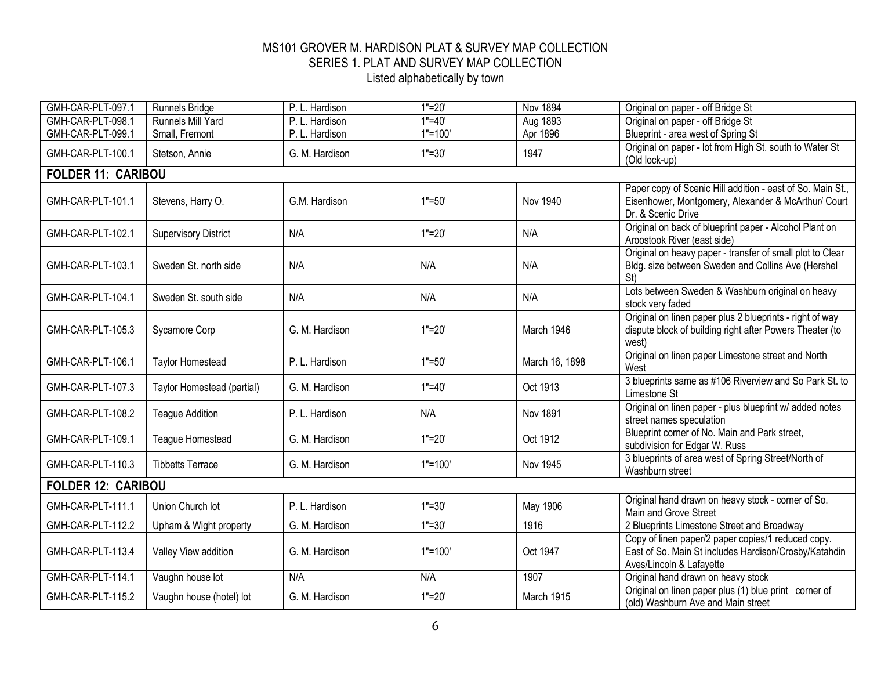| GMH-CAR-PLT-097.1         | Runnels Bridge              | P. L. Hardison | $1"=20'$    | <b>Nov 1894</b> | Original on paper - off Bridge St                                                                                                       |
|---------------------------|-----------------------------|----------------|-------------|-----------------|-----------------------------------------------------------------------------------------------------------------------------------------|
| GMH-CAR-PLT-098.1         | Runnels Mill Yard           | P. L. Hardison | $1" = 40'$  | Aug 1893        | Original on paper - off Bridge St                                                                                                       |
| GMH-CAR-PLT-099.1         | Small, Fremont              | P. L. Hardison | $1"=100"$   | Apr 1896        | Blueprint - area west of Spring St                                                                                                      |
| GMH-CAR-PLT-100.1         | Stetson, Annie              | G. M. Hardison | $1" = 30'$  | 1947            | Original on paper - lot from High St. south to Water St<br>(Old lock-up)                                                                |
| <b>FOLDER 11: CARIBOU</b> |                             |                |             |                 |                                                                                                                                         |
| GMH-CAR-PLT-101.1         | Stevens, Harry O.           | G.M. Hardison  | $1" = 50'$  | <b>Nov 1940</b> | Paper copy of Scenic Hill addition - east of So. Main St.,<br>Eisenhower, Montgomery, Alexander & McArthur/ Court<br>Dr. & Scenic Drive |
| GMH-CAR-PLT-102.1         | <b>Supervisory District</b> | N/A            | $1" = 20'$  | N/A             | Original on back of blueprint paper - Alcohol Plant on<br>Aroostook River (east side)                                                   |
| GMH-CAR-PLT-103.1         | Sweden St. north side       | N/A            | N/A         | N/A             | Original on heavy paper - transfer of small plot to Clear<br>Bldg. size between Sweden and Collins Ave (Hershel<br>St)                  |
| GMH-CAR-PLT-104.1         | Sweden St. south side       | N/A            | N/A         | N/A             | Lots between Sweden & Washburn original on heavy<br>stock very faded                                                                    |
| GMH-CAR-PLT-105.3         | Sycamore Corp               | G. M. Hardison | $1"=20"$    | March 1946      | Original on linen paper plus 2 blueprints - right of way<br>dispute block of building right after Powers Theater (to<br>west)           |
| GMH-CAR-PLT-106.1         | <b>Taylor Homestead</b>     | P. L. Hardison | $1" = 50'$  | March 16, 1898  | Original on linen paper Limestone street and North<br>West                                                                              |
| GMH-CAR-PLT-107.3         | Taylor Homestead (partial)  | G. M. Hardison | $1" = 40'$  | Oct 1913        | 3 blueprints same as #106 Riverview and So Park St. to<br>Limestone St                                                                  |
| GMH-CAR-PLT-108.2         | <b>Teague Addition</b>      | P. L. Hardison | N/A         | <b>Nov 1891</b> | Original on linen paper - plus blueprint w/ added notes<br>street names speculation                                                     |
| GMH-CAR-PLT-109.1         | Teague Homestead            | G. M. Hardison | $1" = 20'$  | Oct 1912        | Blueprint corner of No. Main and Park street,<br>subdivision for Edgar W. Russ                                                          |
| GMH-CAR-PLT-110.3         | <b>Tibbetts Terrace</b>     | G. M. Hardison | $1"=100'$   | <b>Nov 1945</b> | 3 blueprints of area west of Spring Street/North of<br>Washburn street                                                                  |
| <b>FOLDER 12: CARIBOU</b> |                             |                |             |                 |                                                                                                                                         |
| GMH-CAR-PLT-111.1         | Union Church lot            | P. L. Hardison | $1" = 30'$  | May 1906        | Original hand drawn on heavy stock - corner of So.<br>Main and Grove Street                                                             |
| GMH-CAR-PLT-112.2         | Upham & Wight property      | G. M. Hardison | $1" = 30'$  | 1916            | 2 Blueprints Limestone Street and Broadway                                                                                              |
| GMH-CAR-PLT-113.4         | Valley View addition        | G. M. Hardison | $1" = 100'$ | Oct 1947        | Copy of linen paper/2 paper copies/1 reduced copy.<br>East of So. Main St includes Hardison/Crosby/Katahdin<br>Aves/Lincoln & Lafayette |
| GMH-CAR-PLT-114.1         | Vaughn house lot            | N/A            | N/A         | 1907            | Original hand drawn on heavy stock                                                                                                      |
| GMH-CAR-PLT-115.2         | Vaughn house (hotel) lot    | G. M. Hardison | $1" = 20'$  | March 1915      | Original on linen paper plus (1) blue print corner of<br>(old) Washburn Ave and Main street                                             |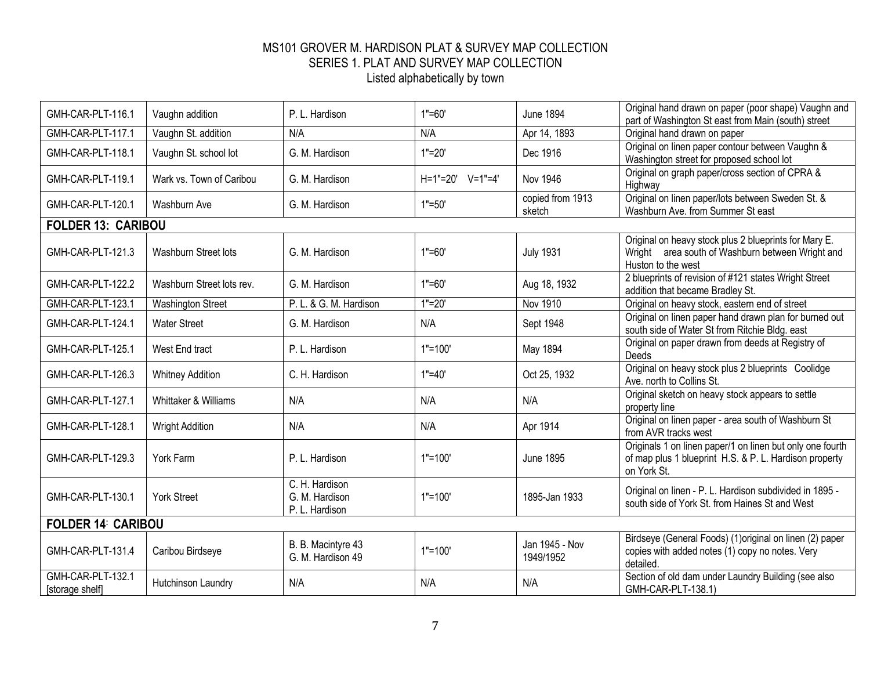| GMH-CAR-PLT-116.1                    | Vaughn addition           | P. L. Hardison                                     | $1" = 60'$       | <b>June 1894</b>            | Original hand drawn on paper (poor shape) Vaughn and<br>part of Washington St east from Main (south) street                        |
|--------------------------------------|---------------------------|----------------------------------------------------|------------------|-----------------------------|------------------------------------------------------------------------------------------------------------------------------------|
| GMH-CAR-PLT-117.1                    | Vaughn St. addition       | N/A                                                | N/A              | Apr 14, 1893                | Original hand drawn on paper                                                                                                       |
| GMH-CAR-PLT-118.1                    | Vaughn St. school lot     | G. M. Hardison                                     | $1" = 20'$       | Dec 1916                    | Original on linen paper contour between Vaughn &<br>Washington street for proposed school lot                                      |
| GMH-CAR-PLT-119.1                    | Wark vs. Town of Caribou  | G. M. Hardison                                     | H=1"=20' V=1"=4' | <b>Nov 1946</b>             | Original on graph paper/cross section of CPRA &<br>Highway                                                                         |
| GMH-CAR-PLT-120.1                    | Washburn Ave              | G. M. Hardison                                     | $1" = 50'$       | copied from 1913<br>sketch  | Original on linen paper/lots between Sweden St. &<br>Washburn Ave. from Summer St east                                             |
| <b>FOLDER 13: CARIBOU</b>            |                           |                                                    |                  |                             |                                                                                                                                    |
| GMH-CAR-PLT-121.3                    | Washburn Street lots      | G. M. Hardison                                     | $1" = 60'$       | <b>July 1931</b>            | Original on heavy stock plus 2 blueprints for Mary E.<br>Wright area south of Washburn between Wright and<br>Huston to the west    |
| GMH-CAR-PLT-122.2                    | Washburn Street lots rev. | G. M. Hardison                                     | $1" = 60'$       | Aug 18, 1932                | 2 blueprints of revision of #121 states Wright Street<br>addition that became Bradley St.                                          |
| GMH-CAR-PLT-123.1                    | <b>Washington Street</b>  | P. L. & G. M. Hardison                             | $1" = 20'$       | Nov 1910                    | Original on heavy stock, eastern end of street                                                                                     |
| GMH-CAR-PLT-124.1                    | <b>Water Street</b>       | G. M. Hardison                                     | N/A              | Sept 1948                   | Original on linen paper hand drawn plan for burned out<br>south side of Water St from Ritchie Bldg. east                           |
| GMH-CAR-PLT-125.1                    | West End tract            | P. L. Hardison                                     | $1" = 100'$      | May 1894                    | Original on paper drawn from deeds at Registry of<br>Deeds                                                                         |
| GMH-CAR-PLT-126.3                    | <b>Whitney Addition</b>   | C. H. Hardison                                     | $1" = 40'$       | Oct 25, 1932                | Original on heavy stock plus 2 blueprints Coolidge<br>Ave. north to Collins St.                                                    |
| GMH-CAR-PLT-127.1                    | Whittaker & Williams      | N/A                                                | N/A              | N/A                         | Original sketch on heavy stock appears to settle<br>property line                                                                  |
| GMH-CAR-PLT-128.1                    | <b>Wright Addition</b>    | N/A                                                | N/A              | Apr 1914                    | Original on linen paper - area south of Washburn St<br>from AVR tracks west                                                        |
| GMH-CAR-PLT-129.3                    | York Farm                 | P. L. Hardison                                     | $1" = 100'$      | <b>June 1895</b>            | Originals 1 on linen paper/1 on linen but only one fourth<br>of map plus 1 blueprint H.S. & P. L. Hardison property<br>on York St. |
| GMH-CAR-PLT-130.1                    | <b>York Street</b>        | C. H. Hardison<br>G. M. Hardison<br>P. L. Hardison | $1" = 100'$      | 1895-Jan 1933               | Original on linen - P. L. Hardison subdivided in 1895 -<br>south side of York St, from Haines St and West                          |
| <b>FOLDER 14 CARIBOU</b>             |                           |                                                    |                  |                             |                                                                                                                                    |
| GMH-CAR-PLT-131.4                    | Caribou Birdseye          | B. B. Macintyre 43<br>G. M. Hardison 49            | $1"=100"$        | Jan 1945 - Nov<br>1949/1952 | Birdseye (General Foods) (1)original on linen (2) paper<br>copies with added notes (1) copy no notes. Very<br>detailed.            |
| GMH-CAR-PLT-132.1<br>[storage shelf] | Hutchinson Laundry        | N/A                                                | N/A              | N/A                         | Section of old dam under Laundry Building (see also<br>GMH-CAR-PLT-138.1)                                                          |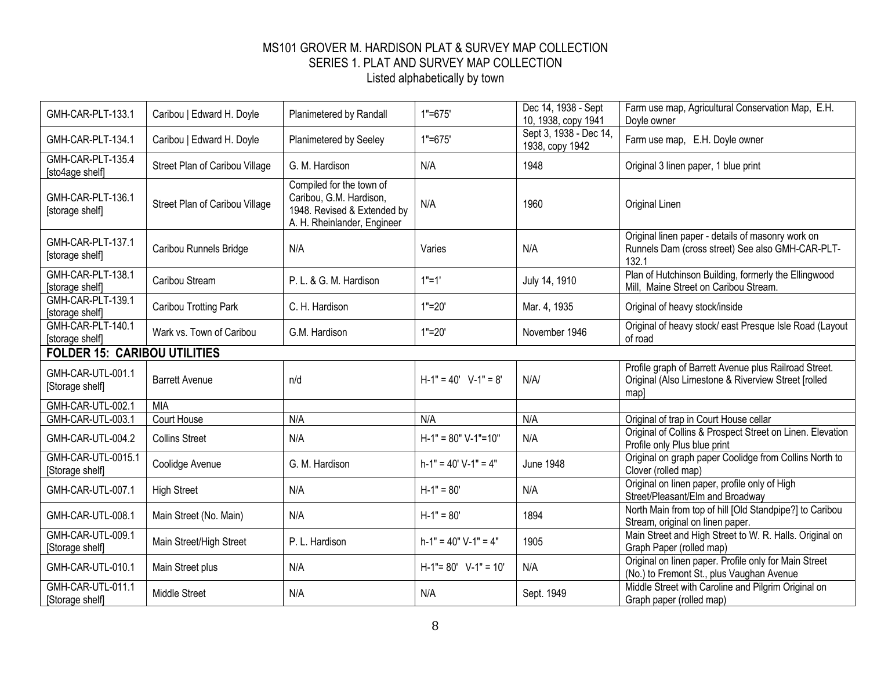| GMH-CAR-PLT-133.1                     | Caribou   Edward H. Doyle      | Planimetered by Randall                                                                                           | $1" = 675'$             | Dec 14, 1938 - Sept<br>10, 1938, copy 1941 | Farm use map, Agricultural Conservation Map, E.H.<br>Doyle owner                                                    |
|---------------------------------------|--------------------------------|-------------------------------------------------------------------------------------------------------------------|-------------------------|--------------------------------------------|---------------------------------------------------------------------------------------------------------------------|
| GMH-CAR-PLT-134.1                     | Caribou   Edward H. Doyle      | Planimetered by Seeley                                                                                            | $1" = 675'$             | Sept 3, 1938 - Dec 14,<br>1938, copy 1942  | Farm use map, E.H. Doyle owner                                                                                      |
| GMH-CAR-PLT-135.4<br>[sto4age shelf]  | Street Plan of Caribou Village | G. M. Hardison                                                                                                    | N/A                     | 1948                                       | Original 3 linen paper, 1 blue print                                                                                |
| GMH-CAR-PLT-136.1<br>[storage shelf]  | Street Plan of Caribou Village | Compiled for the town of<br>Caribou, G.M. Hardison,<br>1948. Revised & Extended by<br>A. H. Rheinlander, Engineer | N/A                     | 1960                                       | Original Linen                                                                                                      |
| GMH-CAR-PLT-137.1<br>[storage shelf]  | Caribou Runnels Bridge         | N/A                                                                                                               | Varies                  | N/A                                        | Original linen paper - details of masonry work on<br>Runnels Dam (cross street) See also GMH-CAR-PLT-<br>132.1      |
| GMH-CAR-PLT-138.1<br>[storage shelf]  | Caribou Stream                 | P. L. & G. M. Hardison                                                                                            | $1"=1"$                 | July 14, 1910                              | Plan of Hutchinson Building, formerly the Ellingwood<br>Mill, Maine Street on Caribou Stream.                       |
| GMH-CAR-PLT-139.1<br>[storage shelf]  | Caribou Trotting Park          | C. H. Hardison                                                                                                    | $1" = 20'$              | Mar. 4, 1935                               | Original of heavy stock/inside                                                                                      |
| GMH-CAR-PLT-140.1<br>[storage shelf]  | Wark vs. Town of Caribou       | G.M. Hardison                                                                                                     | $1" = 20'$              | November 1946                              | Original of heavy stock/ east Presque Isle Road (Layout<br>of road                                                  |
| <b>FOLDER 15: CARIBOU UTILITIES</b>   |                                |                                                                                                                   |                         |                                            |                                                                                                                     |
| GMH-CAR-UTL-001.1<br>[Storage shelf]  | <b>Barrett Avenue</b>          | n/d                                                                                                               | $H-1" = 40'$ V-1" = 8'  | N/A/                                       | Profile graph of Barrett Avenue plus Railroad Street.<br>Original (Also Limestone & Riverview Street [rolled<br>map |
| GMH-CAR-UTL-002.1                     | <b>MIA</b>                     |                                                                                                                   |                         |                                            |                                                                                                                     |
| GMH-CAR-UTL-003.1                     | Court House                    | N/A                                                                                                               | N/A                     | N/A                                        | Original of trap in Court House cellar                                                                              |
| GMH-CAR-UTL-004.2                     | <b>Collins Street</b>          | N/A                                                                                                               | $H-1" = 80" V-1" = 10"$ | N/A                                        | Original of Collins & Prospect Street on Linen. Elevation<br>Profile only Plus blue print                           |
| GMH-CAR-UTL-0015.1<br>[Storage shelf] | Coolidge Avenue                | G. M. Hardison                                                                                                    | $h-1" = 40' V-1" = 4"$  | <b>June 1948</b>                           | Original on graph paper Coolidge from Collins North to<br>Clover (rolled map)                                       |
| GMH-CAR-UTL-007.1                     | <b>High Street</b>             | N/A                                                                                                               | $H-1" = 80'$            | N/A                                        | Original on linen paper, profile only of High<br>Street/Pleasant/Elm and Broadway                                   |
| GMH-CAR-UTL-008.1                     | Main Street (No. Main)         | N/A                                                                                                               | $H-1" = 80'$            | 1894                                       | North Main from top of hill [Old Standpipe?] to Caribou<br>Stream, original on linen paper.                         |
| GMH-CAR-UTL-009.1<br>[Storage shelf]  | Main Street/High Street        | P. L. Hardison                                                                                                    | $h-1" = 40" V-1" = 4"$  | 1905                                       | Main Street and High Street to W. R. Halls. Original on<br>Graph Paper (rolled map)                                 |
| GMH-CAR-UTL-010.1                     | Main Street plus               | N/A                                                                                                               | $H-1" = 80'$ V-1" = 10' | N/A                                        | Original on linen paper. Profile only for Main Street<br>(No.) to Fremont St., plus Vaughan Avenue                  |
| GMH-CAR-UTL-011.1<br>[Storage shelf]  | <b>Middle Street</b>           | N/A                                                                                                               | N/A                     | Sept. 1949                                 | Middle Street with Caroline and Pilgrim Original on<br>Graph paper (rolled map)                                     |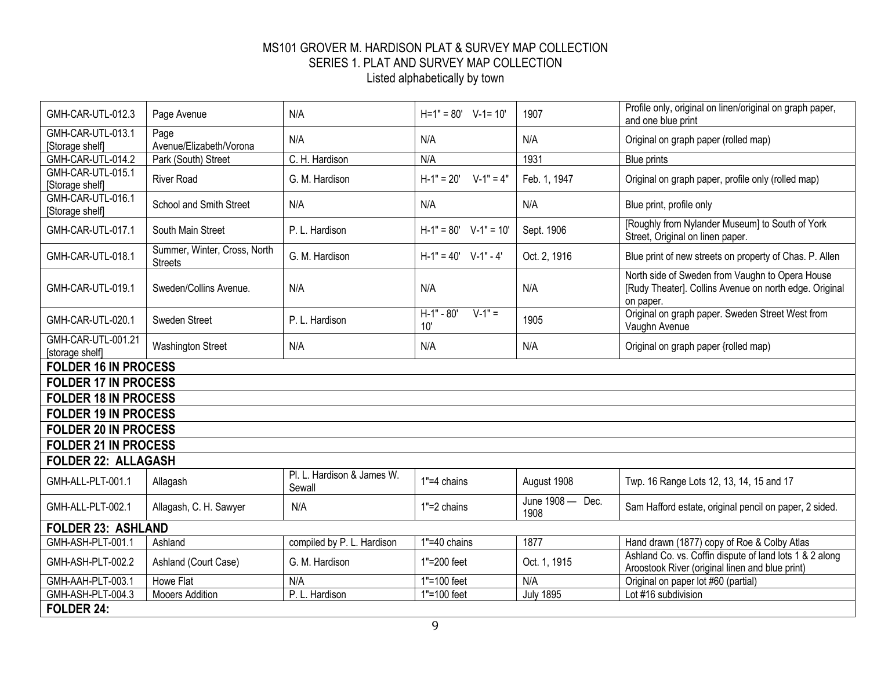| GMH-CAR-UTL-012.3                     | Page Avenue                                    | N/A                                  | $H=1" = 80'$ V-1= 10'           | 1907                     | Profile only, original on linen/original on graph paper,<br>and one blue print                                         |
|---------------------------------------|------------------------------------------------|--------------------------------------|---------------------------------|--------------------------|------------------------------------------------------------------------------------------------------------------------|
| GMH-CAR-UTL-013.1<br>[Storage shelf]  | Page<br>Avenue/Elizabeth/Vorona                | N/A                                  | N/A                             | N/A                      | Original on graph paper (rolled map)                                                                                   |
| GMH-CAR-UTL-014.2                     | Park (South) Street                            | C. H. Hardison                       | N/A                             | 1931                     | <b>Blue prints</b>                                                                                                     |
| GMH-CAR-UTL-015.1<br>[Storage shelf]  | <b>River Road</b>                              | G. M. Hardison                       | $H-1" = 20'$ $V-1" = 4"$        | Feb. 1, 1947             | Original on graph paper, profile only (rolled map)                                                                     |
| GMH-CAR-UTL-016.1<br>[Storage shelf]  | School and Smith Street                        | N/A                                  | N/A                             | N/A                      | Blue print, profile only                                                                                               |
| GMH-CAR-UTL-017.1                     | South Main Street                              | P. L. Hardison                       | $H-1" = 80'$ V-1" = 10'         | Sept. 1906               | [Roughly from Nylander Museum] to South of York<br>Street, Original on linen paper.                                    |
| GMH-CAR-UTL-018.1                     | Summer, Winter, Cross, North<br><b>Streets</b> | G. M. Hardison                       | $H-1" = 40'$ V-1" - 4'          | Oct. 2, 1916             | Blue print of new streets on property of Chas. P. Allen                                                                |
| GMH-CAR-UTL-019.1                     | Sweden/Collins Avenue.                         | N/A                                  | N/A                             | N/A                      | North side of Sweden from Vaughn to Opera House<br>[Rudy Theater]. Collins Avenue on north edge. Original<br>on paper. |
| GMH-CAR-UTL-020.1                     | Sweden Street                                  | P. L. Hardison                       | $H-1" - 80'$<br>$V-1" =$<br>10' | 1905                     | Original on graph paper. Sweden Street West from<br>Vaughn Avenue                                                      |
| GMH-CAR-UTL-001.21<br>[storage shelf] | <b>Washington Street</b>                       | N/A                                  | N/A                             | N/A                      | Original on graph paper {rolled map)                                                                                   |
| <b>FOLDER 16 IN PROCESS</b>           |                                                |                                      |                                 |                          |                                                                                                                        |
| <b>FOLDER 17 IN PROCESS</b>           |                                                |                                      |                                 |                          |                                                                                                                        |
| <b>FOLDER 18 IN PROCESS</b>           |                                                |                                      |                                 |                          |                                                                                                                        |
| <b>FOLDER 19 IN PROCESS</b>           |                                                |                                      |                                 |                          |                                                                                                                        |
| <b>FOLDER 20 IN PROCESS</b>           |                                                |                                      |                                 |                          |                                                                                                                        |
| <b>FOLDER 21 IN PROCESS</b>           |                                                |                                      |                                 |                          |                                                                                                                        |
| <b>FOLDER 22: ALLAGASH</b>            |                                                |                                      |                                 |                          |                                                                                                                        |
| GMH-ALL-PLT-001.1                     | Allagash                                       | Pl. L. Hardison & James W.<br>Sewall | $1" = 4$ chains                 | August 1908              | Twp. 16 Range Lots 12, 13, 14, 15 and 17                                                                               |
| GMH-ALL-PLT-002.1                     | Allagash, C. H. Sawyer                         | N/A                                  | $1" = 2$ chains                 | June 1908 - Dec.<br>1908 | Sam Hafford estate, original pencil on paper, 2 sided.                                                                 |
| <b>FOLDER 23: ASHLAND</b>             |                                                |                                      |                                 |                          |                                                                                                                        |
| GMH-ASH-PLT-001.1                     | Ashland                                        | compiled by P. L. Hardison           | $1" = 40$ chains                | 1877                     | Hand drawn (1877) copy of Roe & Colby Atlas                                                                            |
| GMH-ASH-PLT-002.2                     | Ashland (Court Case)                           | G. M. Hardison                       | 1"=200 feet                     | Oct. 1, 1915             | Ashland Co. vs. Coffin dispute of land lots 1 & 2 along<br>Aroostook River (original linen and blue print)             |
| GMH-AAH-PLT-003.1                     | <b>Howe Flat</b>                               | N/A                                  | $1" = 100$ feet                 | N/A                      | Original on paper lot #60 (partial)                                                                                    |
| GMH-ASH-PLT-004.3                     | <b>Mooers Addition</b>                         | P. L. Hardison                       | 1"=100 feet                     | <b>July 1895</b>         | Lot #16 subdivision                                                                                                    |
| <b>FOLDER 24:</b>                     |                                                |                                      |                                 |                          |                                                                                                                        |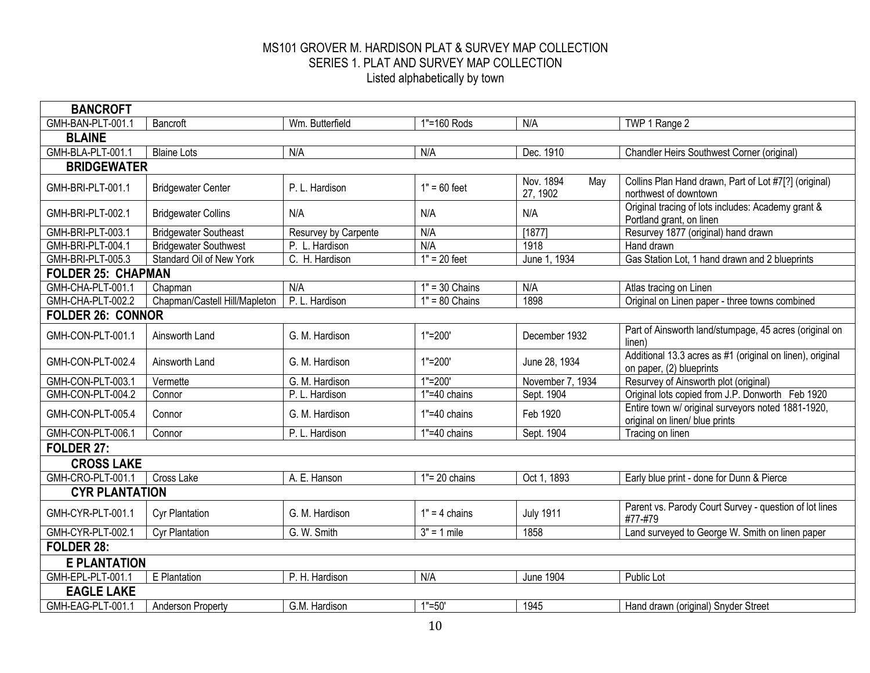| <b>BANCROFT</b>           |                               |                      |                           |                              |                                                                                       |
|---------------------------|-------------------------------|----------------------|---------------------------|------------------------------|---------------------------------------------------------------------------------------|
| GMH-BAN-PLT-001.1         | Bancroft                      | Wm. Butterfield      | 1"=160 Rods               | N/A                          | TWP 1 Range 2                                                                         |
| <b>BLAINE</b>             |                               |                      |                           |                              |                                                                                       |
| GMH-BLA-PLT-001.1         | <b>Blaine Lots</b>            | N/A                  | N/A                       | Dec. 1910                    | Chandler Heirs Southwest Corner (original)                                            |
| <b>BRIDGEWATER</b>        |                               |                      |                           |                              |                                                                                       |
| GMH-BRI-PLT-001.1         | <b>Bridgewater Center</b>     | P. L. Hardison       | $1" = 60$ feet            | Nov. 1894<br>May<br>27, 1902 | Collins Plan Hand drawn, Part of Lot #7[?] (original)<br>northwest of downtown        |
| GMH-BRI-PLT-002.1         | <b>Bridgewater Collins</b>    | N/A                  | N/A                       | N/A                          | Original tracing of lots includes: Academy grant &<br>Portland grant, on linen        |
| GMH-BRI-PLT-003.1         | <b>Bridgewater Southeast</b>  | Resurvey by Carpente | N/A                       | [1877]                       | Resurvey 1877 (original) hand drawn                                                   |
| GMH-BRI-PLT-004.1         | <b>Bridgewater Southwest</b>  | P. L. Hardison       | N/A                       | 1918                         | Hand drawn                                                                            |
| GMH-BRI-PLT-005.3         | Standard Oil of New York      | C. H. Hardison       | $1" = 20$ feet            | June 1, 1934                 | Gas Station Lot, 1 hand drawn and 2 blueprints                                        |
| <b>FOLDER 25: CHAPMAN</b> |                               |                      |                           |                              |                                                                                       |
| GMH-CHA-PLT-001.1         | Chapman                       | N/A                  | $1" = 30$ Chains          | N/A                          | Atlas tracing on Linen                                                                |
| GMH-CHA-PLT-002.2         | Chapman/Castell Hill/Mapleton | P. L. Hardison       | $1" = 80$ Chains          | 1898                         | Original on Linen paper - three towns combined                                        |
| <b>FOLDER 26: CONNOR</b>  |                               |                      |                           |                              |                                                                                       |
| GMH-CON-PLT-001.1         | Ainsworth Land                | G. M. Hardison       | $1" = 200'$               | December 1932                | Part of Ainsworth land/stumpage, 45 acres (original on<br>linen)                      |
| GMH-CON-PLT-002.4         | Ainsworth Land                | G. M. Hardison       | $1" = 200'$               | June 28, 1934                | Additional 13.3 acres as #1 (original on linen), original<br>on paper, (2) blueprints |
| GMH-CON-PLT-003.1         | Vermette                      | G. M. Hardison       | $1" = 200'$               | November 7, 1934             | Resurvey of Ainsworth plot (original)                                                 |
| GMH-CON-PLT-004.2         | Connor                        | P. L. Hardison       | $\overline{1}$ =40 chains | Sept. 1904                   | Original lots copied from J.P. Donworth Feb 1920                                      |
| GMH-CON-PLT-005.4         | Connor                        | G. M. Hardison       | 1"=40 chains              | Feb 1920                     | Entire town w/ original surveyors noted 1881-1920,<br>original on linen/ blue prints  |
| GMH-CON-PLT-006.1         | Connor                        | P. L. Hardison       | 1"=40 chains              | Sept. 1904                   | Tracing on linen                                                                      |
| FOLDER 27:                |                               |                      |                           |                              |                                                                                       |
| <b>CROSS LAKE</b>         |                               |                      |                           |                              |                                                                                       |
| GMH-CRO-PLT-001.1         | Cross Lake                    | A. E. Hanson         | $1"$ = 20 chains          | Oct 1, 1893                  | Early blue print - done for Dunn & Pierce                                             |
| <b>CYR PLANTATION</b>     |                               |                      |                           |                              |                                                                                       |
| GMH-CYR-PLT-001.1         | <b>Cyr Plantation</b>         | G. M. Hardison       | $1" = 4$ chains           | <b>July 1911</b>             | Parent vs. Parody Court Survey - question of lot lines<br>#77-#79                     |
| GMH-CYR-PLT-002.1         | <b>Cyr Plantation</b>         | G. W. Smith          | $3" = 1$ mile             | 1858                         | Land surveyed to George W. Smith on linen paper                                       |
| <b>FOLDER 28:</b>         |                               |                      |                           |                              |                                                                                       |
| <b>E PLANTATION</b>       |                               |                      |                           |                              |                                                                                       |
| GMH-EPL-PLT-001.1         | E Plantation                  | P. H. Hardison       | N/A                       | <b>June 1904</b>             | Public Lot                                                                            |
| <b>EAGLE LAKE</b>         |                               |                      |                           |                              |                                                                                       |
| GMH-EAG-PLT-001.1         | Anderson Property             | G.M. Hardison        | $1" = 50'$                | 1945                         | Hand drawn (original) Snyder Street                                                   |
|                           |                               |                      |                           |                              |                                                                                       |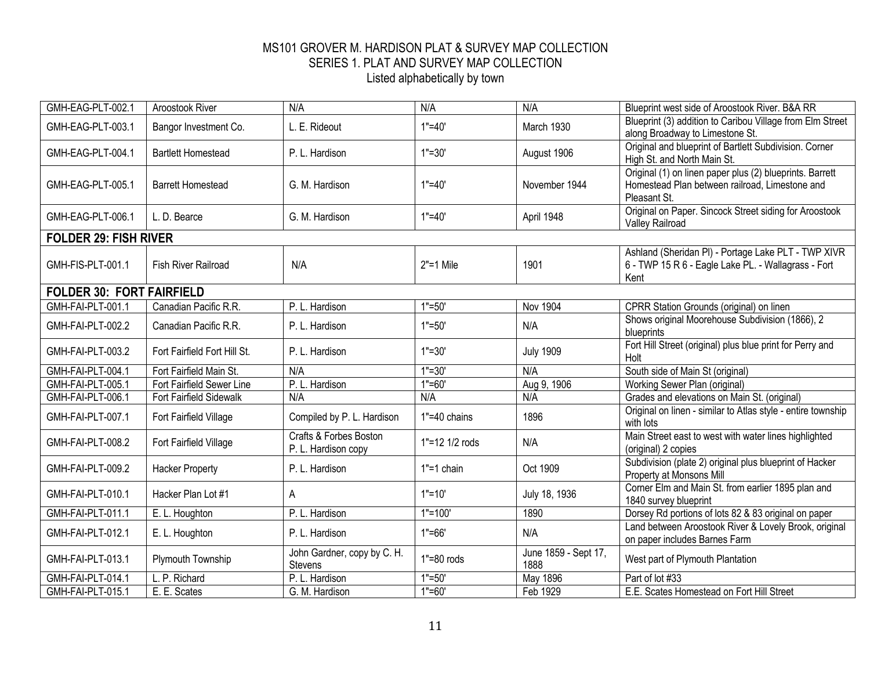| GMH-EAG-PLT-002.1                | Aroostook River              | N/A                                                      | N/A            | N/A                          | Blueprint west side of Aroostook River. B&A RR                                                                             |
|----------------------------------|------------------------------|----------------------------------------------------------|----------------|------------------------------|----------------------------------------------------------------------------------------------------------------------------|
| GMH-EAG-PLT-003.1                | Bangor Investment Co.        | L. E. Rideout                                            | $1" = 40'$     | March 1930                   | Blueprint (3) addition to Caribou Village from Elm Street<br>along Broadway to Limestone St.                               |
| GMH-EAG-PLT-004.1                | <b>Bartlett Homestead</b>    | P. L. Hardison                                           | $1" = 30'$     | August 1906                  | Original and blueprint of Bartlett Subdivision. Corner<br>High St. and North Main St.                                      |
| GMH-EAG-PLT-005.1                | <b>Barrett Homestead</b>     | G. M. Hardison                                           | $1" = 40'$     | November 1944                | Original (1) on linen paper plus (2) blueprints. Barrett<br>Homestead Plan between railroad, Limestone and<br>Pleasant St. |
| GMH-EAG-PLT-006.1                | L. D. Bearce                 | G. M. Hardison                                           | $1" = 40'$     | April 1948                   | Original on Paper. Sincock Street siding for Aroostook<br>Valley Railroad                                                  |
| <b>FOLDER 29: FISH RIVER</b>     |                              |                                                          |                |                              |                                                                                                                            |
| GMH-FIS-PLT-001.1                | <b>Fish River Railroad</b>   | N/A                                                      | $2" = 1$ Mile  | 1901                         | Ashland (Sheridan PI) - Portage Lake PLT - TWP XIVR<br>6 - TWP 15 R 6 - Eagle Lake PL. - Wallagrass - Fort<br>Kent         |
| <b>FOLDER 30: FORT FAIRFIELD</b> |                              |                                                          |                |                              |                                                                                                                            |
| GMH-FAI-PLT-001.1                | Canadian Pacific R.R.        | P. L. Hardison                                           | $1" = 50'$     | <b>Nov 1904</b>              | CPRR Station Grounds (original) on linen                                                                                   |
| GMH-FAI-PLT-002.2                | Canadian Pacific R.R.        | P. L. Hardison                                           | $1" = 50'$     | N/A                          | Shows original Moorehouse Subdivision (1866), 2<br>blueprints                                                              |
| GMH-FAI-PLT-003.2                | Fort Fairfield Fort Hill St. | P. L. Hardison                                           | $1" = 30'$     | <b>July 1909</b>             | Fort Hill Street (original) plus blue print for Perry and<br>Holt                                                          |
| GMH-FAI-PLT-004.1                | Fort Fairfield Main St.      | N/A                                                      | $1" = 30'$     | N/A                          | South side of Main St (original)                                                                                           |
| GMH-FAI-PLT-005.1                | Fort Fairfield Sewer Line    | P. L. Hardison                                           | $1" = 60'$     | Aug 9, 1906                  | Working Sewer Plan (original)                                                                                              |
| GMH-FAI-PLT-006.1                | Fort Fairfield Sidewalk      | N/A                                                      | N/A            | N/A                          | Grades and elevations on Main St. (original)                                                                               |
| GMH-FAI-PLT-007.1                | Fort Fairfield Village       | Compiled by P. L. Hardison                               | 1"=40 chains   | 1896                         | Original on linen - similar to Atlas style - entire township<br>with lots                                                  |
| GMH-FAI-PLT-008.2                | Fort Fairfield Village       | <b>Crafts &amp; Forbes Boston</b><br>P. L. Hardison copy | 1"=12 1/2 rods | N/A                          | Main Street east to west with water lines highlighted<br>(original) 2 copies                                               |
| GMH-FAI-PLT-009.2                | <b>Hacker Property</b>       | P. L. Hardison                                           | $1" = 1$ chain | Oct 1909                     | Subdivision (plate 2) original plus blueprint of Hacker<br>Property at Monsons Mill                                        |
| GMH-FAI-PLT-010.1                | Hacker Plan Lot #1           | A                                                        | $1" = 10'$     | July 18, 1936                | Corner Elm and Main St. from earlier 1895 plan and<br>1840 survey blueprint                                                |
| GMH-FAI-PLT-011.1                | E. L. Houghton               | P. L. Hardison                                           | $1"=100"$      | 1890                         | Dorsey Rd portions of lots 82 & 83 original on paper                                                                       |
| GMH-FAI-PLT-012.1                | E. L. Houghton               | P. L. Hardison                                           | $1" = 66'$     | N/A                          | Land between Aroostook River & Lovely Brook, original<br>on paper includes Barnes Farm                                     |
| GMH-FAI-PLT-013.1                | Plymouth Township            | John Gardner, copy by C. H.<br><b>Stevens</b>            | $1" = 80$ rods | June 1859 - Sept 17,<br>1888 | West part of Plymouth Plantation                                                                                           |
| GMH-FAI-PLT-014.1                | L. P. Richard                | P. L. Hardison                                           | $1" = 50'$     | May 1896                     | Part of lot #33                                                                                                            |
| GMH-FAI-PLT-015.1                | E. E. Scates                 | G. M. Hardison                                           | $1" = 60'$     | Feb 1929                     | E.E. Scates Homestead on Fort Hill Street                                                                                  |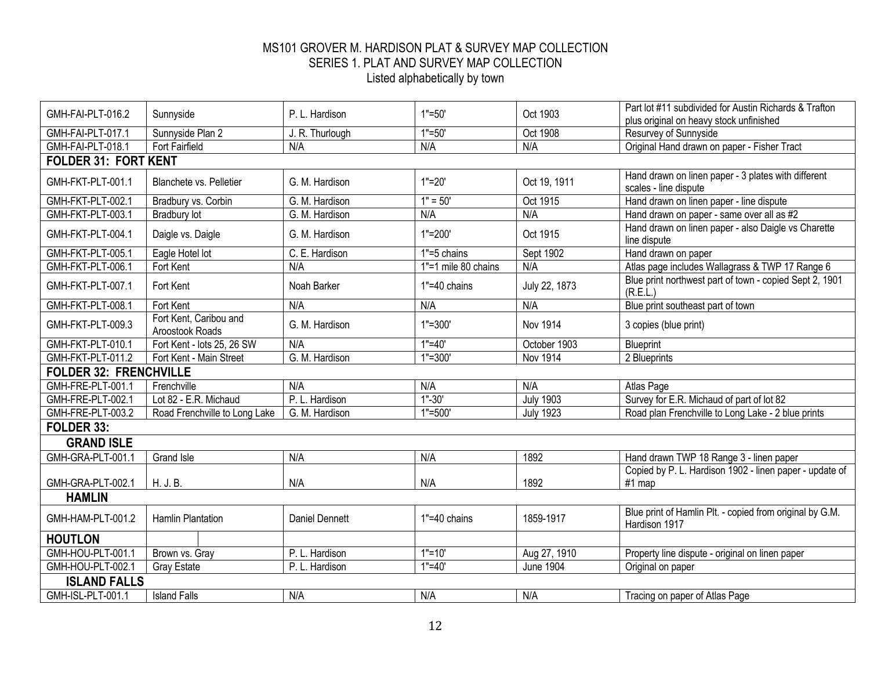| GMH-FAI-PLT-016.2             | Sunnyside                                 | P. L. Hardison        | $1" = 50'$          | Oct 1903         | Part lot #11 subdivided for Austin Richards & Trafton                        |
|-------------------------------|-------------------------------------------|-----------------------|---------------------|------------------|------------------------------------------------------------------------------|
| GMH-FAI-PLT-017.1             |                                           |                       | $1" = 50'$          | Oct 1908         | plus original on heavy stock unfinished                                      |
| GMH-FAI-PLT-018.1             | Sunnyside Plan 2<br>Fort Fairfield        | J. R. Thurlough       | N/A                 | N/A              | Resurvey of Sunnyside                                                        |
|                               |                                           | N/A                   |                     |                  | Original Hand drawn on paper - Fisher Tract                                  |
| <b>FOLDER 31: FORT KENT</b>   |                                           |                       |                     |                  |                                                                              |
| GMH-FKT-PLT-001.1             | <b>Blanchete vs. Pelletier</b>            | G. M. Hardison        | $1" = 20'$          | Oct 19, 1911     | Hand drawn on linen paper - 3 plates with different<br>scales - line dispute |
| GMH-FKT-PLT-002.1             | Bradbury vs. Corbin                       | G. M. Hardison        | $1" = 50'$          | Oct 1915         | Hand drawn on linen paper - line dispute                                     |
| GMH-FKT-PLT-003.1             | <b>Bradbury lot</b>                       | G. M. Hardison        | N/A                 | N/A              | Hand drawn on paper - same over all as #2                                    |
| GMH-FKT-PLT-004.1             | Daigle vs. Daigle                         | G. M. Hardison        | $1" = 200'$         | Oct 1915         | Hand drawn on linen paper - also Daigle vs Charette<br>line dispute          |
| GMH-FKT-PLT-005.1             | Eagle Hotel lot                           | C. E. Hardison        | 1"=5 chains         | Sept 1902        | Hand drawn on paper                                                          |
| GMH-FKT-PLT-006.1             | Fort Kent                                 | N/A                   | 1"=1 mile 80 chains | N/A              | Atlas page includes Wallagrass & TWP 17 Range 6                              |
| GMH-FKT-PLT-007.1             | Fort Kent                                 | Noah Barker           | 1"=40 chains        | July 22, 1873    | Blue print northwest part of town - copied Sept 2, 1901<br>(R.E.L.)          |
| GMH-FKT-PLT-008.1             | Fort Kent                                 | N/A                   | N/A                 | N/A              | Blue print southeast part of town                                            |
| GMH-FKT-PLT-009.3             | Fort Kent, Caribou and<br>Aroostook Roads | G. M. Hardison        | $1" = 300'$         | Nov 1914         | 3 copies (blue print)                                                        |
| GMH-FKT-PLT-010.1             | Fort Kent - lots 25, 26 SW                | N/A                   | $1" = 40'$          | October 1903     | Blueprint                                                                    |
| GMH-FKT-PLT-011.2             | Fort Kent - Main Street                   | G. M. Hardison        | $1" = 300'$         | Nov 1914         | 2 Blueprints                                                                 |
| <b>FOLDER 32: FRENCHVILLE</b> |                                           |                       |                     |                  |                                                                              |
| GMH-FRE-PLT-001.1             | Frenchville                               | N/A                   | N/A                 | N/A              | Atlas Page                                                                   |
| GMH-FRE-PLT-002.1             | Lot 82 - E.R. Michaud                     | P. L. Hardison        | $1 - 30'$           | <b>July 1903</b> | Survey for E.R. Michaud of part of lot 82                                    |
| GMH-FRE-PLT-003.2             | Road Frenchville to Long Lake             | G. M. Hardison        | $1" = 500'$         | <b>July 1923</b> | Road plan Frenchville to Long Lake - 2 blue prints                           |
| FOLDER 33:                    |                                           |                       |                     |                  |                                                                              |
| <b>GRAND ISLE</b>             |                                           |                       |                     |                  |                                                                              |
| GMH-GRA-PLT-001.1             | <b>Grand Isle</b>                         | N/A                   | N/A                 | 1892             | Hand drawn TWP 18 Range 3 - linen paper                                      |
|                               |                                           |                       |                     |                  | Copied by P. L. Hardison 1902 - linen paper - update of                      |
| GMH-GRA-PLT-002.1             | H. J. B.                                  | N/A                   | N/A                 | 1892             | #1 map                                                                       |
| <b>HAMLIN</b>                 |                                           |                       |                     |                  |                                                                              |
| GMH-HAM-PLT-001.2             | <b>Hamlin Plantation</b>                  | <b>Daniel Dennett</b> | 1"=40 chains        | 1859-1917        | Blue print of Hamlin Plt. - copied from original by G.M.<br>Hardison 1917    |
| <b>HOUTLON</b>                |                                           |                       |                     |                  |                                                                              |
| GMH-HOU-PLT-001.1             | Brown vs. Gray                            | P. L. Hardison        | $1"=10'$            | Aug 27, 1910     | Property line dispute - original on linen paper                              |
| GMH-HOU-PLT-002.1             | <b>Gray Estate</b>                        | P. L. Hardison        | $1" = 40'$          | <b>June 1904</b> | Original on paper                                                            |
| <b>ISLAND FALLS</b>           |                                           |                       |                     |                  |                                                                              |
| GMH-ISL-PLT-001.1             | <b>Island Falls</b>                       | N/A                   | N/A                 | N/A              | Tracing on paper of Atlas Page                                               |
|                               |                                           |                       |                     |                  |                                                                              |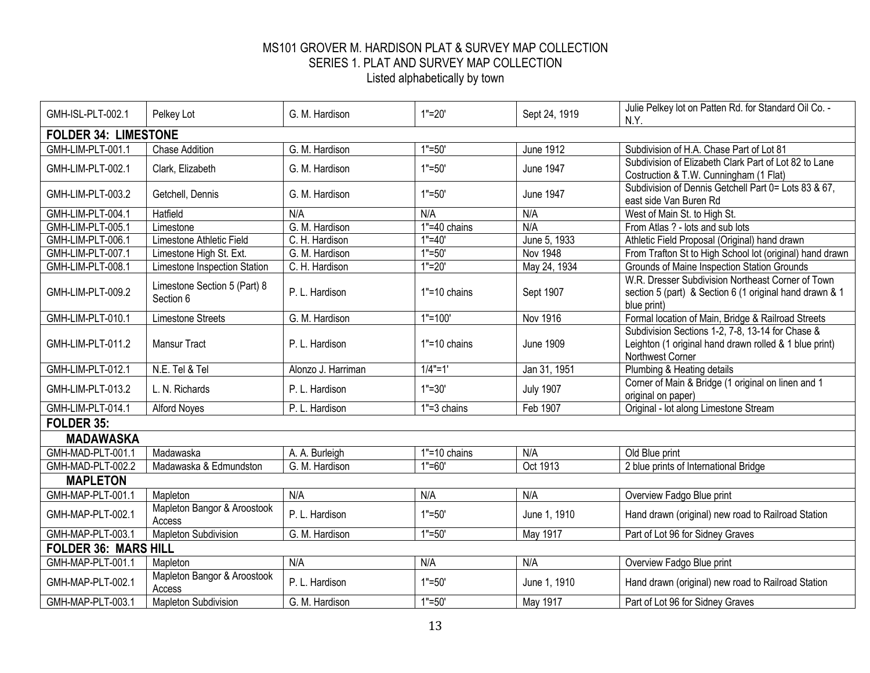| GMH-ISL-PLT-002.1           | Pelkey Lot                                | G. M. Hardison     | $1"=20'$         | Sept 24, 1919    | Julie Pelkey lot on Patten Rd. for Standard Oil Co. -                                                                          |  |
|-----------------------------|-------------------------------------------|--------------------|------------------|------------------|--------------------------------------------------------------------------------------------------------------------------------|--|
|                             |                                           |                    |                  |                  | N.Y.                                                                                                                           |  |
| <b>FOLDER 34: LIMESTONE</b> |                                           |                    |                  |                  |                                                                                                                                |  |
| GMH-LIM-PLT-001.1           | <b>Chase Addition</b>                     | G. M. Hardison     | $1" = 50'$       | <b>June 1912</b> | Subdivision of H.A. Chase Part of Lot 81                                                                                       |  |
| GMH-LIM-PLT-002.1           | Clark, Elizabeth                          | G. M. Hardison     | $1" = 50'$       | <b>June 1947</b> | Subdivision of Elizabeth Clark Part of Lot 82 to Lane<br>Costruction & T.W. Cunningham (1 Flat)                                |  |
| GMH-LIM-PLT-003.2           | Getchell, Dennis                          | G. M. Hardison     | $1" = 50'$       | <b>June 1947</b> | Subdivision of Dennis Getchell Part 0= Lots 83 & 67,<br>east side Van Buren Rd                                                 |  |
| GMH-LIM-PLT-004.1           | Hatfield                                  | N/A                | N/A              | N/A              | West of Main St. to High St.                                                                                                   |  |
| GMH-LIM-PLT-005.1           | Limestone                                 | G. M. Hardison     | 1"=40 chains     | N/A              | From Atlas ? - lots and sub lots                                                                                               |  |
| GMH-LIM-PLT-006.1           | Limestone Athletic Field                  | C. H. Hardison     | $1" = 40'$       | June 5, 1933     | Athletic Field Proposal (Original) hand drawn                                                                                  |  |
| GMH-LIM-PLT-007.1           | Limestone High St. Ext.                   | G. M. Hardison     | $1" = 50'$       | <b>Nov 1948</b>  | From Trafton St to High School lot (original) hand drawn                                                                       |  |
| GMH-LIM-PLT-008.1           | Limestone Inspection Station              | C. H. Hardison     | $1" = 20'$       | May 24, 1934     | Grounds of Maine Inspection Station Grounds                                                                                    |  |
| GMH-LIM-PLT-009.2           | Limestone Section 5 (Part) 8<br>Section 6 | P. L. Hardison     | $1" = 10$ chains | Sept 1907        | W.R. Dresser Subdivision Northeast Corner of Town<br>section 5 (part) & Section 6 (1 original hand drawn & 1<br>blue print)    |  |
| GMH-LIM-PLT-010.1           | <b>Limestone Streets</b>                  | G. M. Hardison     | $1"=100"$        | <b>Nov 1916</b>  | Formal location of Main, Bridge & Railroad Streets                                                                             |  |
| GMH-LIM-PLT-011.2           | <b>Mansur Tract</b>                       | P. L. Hardison     | $1" = 10$ chains | <b>June 1909</b> | Subdivision Sections 1-2, 7-8, 13-14 for Chase &<br>Leighton (1 original hand drawn rolled & 1 blue print)<br>Northwest Corner |  |
| GMH-LIM-PLT-012.1           | N.E. Tel & Tel                            | Alonzo J. Harriman | $1/4" = 1'$      | Jan 31, 1951     | Plumbing & Heating details                                                                                                     |  |
| GMH-LIM-PLT-013.2           | L. N. Richards                            | P. L. Hardison     | $1" = 30'$       | <b>July 1907</b> | Corner of Main & Bridge (1 original on linen and 1<br>original on paper)                                                       |  |
| GMH-LIM-PLT-014.1           | <b>Alford Noyes</b>                       | P. L. Hardison     | $1" = 3$ chains  | Feb 1907         | Original - lot along Limestone Stream                                                                                          |  |
| FOLDER 35:                  |                                           |                    |                  |                  |                                                                                                                                |  |
| <b>MADAWASKA</b>            |                                           |                    |                  |                  |                                                                                                                                |  |
| GMH-MAD-PLT-001.1           | Madawaska                                 | A. A. Burleigh     | $1" = 10$ chains | N/A              | Old Blue print                                                                                                                 |  |
| GMH-MAD-PLT-002.2           | Madawaska & Edmundston                    | G. M. Hardison     | $1" = 60'$       | Oct 1913         | 2 blue prints of International Bridge                                                                                          |  |
| <b>MAPLETON</b>             |                                           |                    |                  |                  |                                                                                                                                |  |
| GMH-MAP-PLT-001.1           | Mapleton                                  | N/A                | N/A              | N/A              | Overview Fadgo Blue print                                                                                                      |  |
| GMH-MAP-PLT-002.1           | Mapleton Bangor & Aroostook<br>Access     | P. L. Hardison     | $1" = 50'$       | June 1, 1910     | Hand drawn (original) new road to Railroad Station                                                                             |  |
| GMH-MAP-PLT-003.1           | Mapleton Subdivision                      | G. M. Hardison     | $1" = 50'$       | May 1917         | Part of Lot 96 for Sidney Graves                                                                                               |  |
| <b>FOLDER 36: MARS HILL</b> |                                           |                    |                  |                  |                                                                                                                                |  |
| GMH-MAP-PLT-001.1           | Mapleton                                  | N/A                | N/A              | N/A              | Overview Fadgo Blue print                                                                                                      |  |
| GMH-MAP-PLT-002.1           | Mapleton Bangor & Aroostook<br>Access     | P. L. Hardison     | $1" = 50'$       | June 1, 1910     | Hand drawn (original) new road to Railroad Station                                                                             |  |
| GMH-MAP-PLT-003.1           | <b>Mapleton Subdivision</b>               | G. M. Hardison     | $1" = 50'$       | May 1917         | Part of Lot 96 for Sidney Graves                                                                                               |  |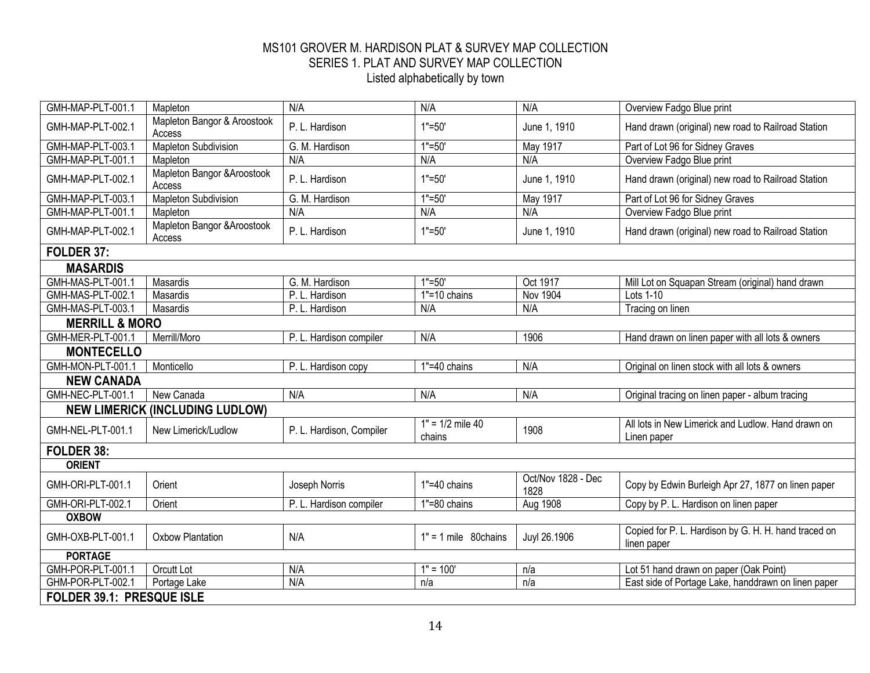| GMH-MAP-PLT-001.1         | Mapleton                               | N/A                      | N/A                          | N/A                        | Overview Fadgo Blue print                                           |  |  |
|---------------------------|----------------------------------------|--------------------------|------------------------------|----------------------------|---------------------------------------------------------------------|--|--|
| GMH-MAP-PLT-002.1         | Mapleton Bangor & Aroostook<br>Access  | P. L. Hardison           | $1" = 50'$                   | June 1, 1910               | Hand drawn (original) new road to Railroad Station                  |  |  |
| GMH-MAP-PLT-003.1         | <b>Mapleton Subdivision</b>            | G. M. Hardison           | $1" = 50'$                   | May 1917                   | Part of Lot 96 for Sidney Graves                                    |  |  |
| GMH-MAP-PLT-001.1         | Mapleton                               | N/A                      | N/A                          | N/A                        | Overview Fadgo Blue print                                           |  |  |
| GMH-MAP-PLT-002.1         | Mapleton Bangor & Aroostook<br>Access  | P. L. Hardison           | $1" = 50'$                   | June 1, 1910               | Hand drawn (original) new road to Railroad Station                  |  |  |
| GMH-MAP-PLT-003.1         | <b>Mapleton Subdivision</b>            | G. M. Hardison           | $1" = 50'$                   | May 1917                   | Part of Lot 96 for Sidney Graves                                    |  |  |
| GMH-MAP-PLT-001.1         | Mapleton                               | N/A                      | N/A                          | N/A                        | Overview Fadgo Blue print                                           |  |  |
| GMH-MAP-PLT-002.1         | Mapleton Bangor & Aroostook<br>Access  | P. L. Hardison           | $1" = 50'$                   | June 1, 1910               | Hand drawn (original) new road to Railroad Station                  |  |  |
| FOLDER 37:                |                                        |                          |                              |                            |                                                                     |  |  |
| <b>MASARDIS</b>           |                                        |                          |                              |                            |                                                                     |  |  |
| GMH-MAS-PLT-001.1         | Masardis                               | G. M. Hardison           | $1" = 50'$                   | Oct 1917                   | Mill Lot on Squapan Stream (original) hand drawn                    |  |  |
| GMH-MAS-PLT-002.1         | Masardis                               | P. L. Hardison           | $1" = 10$ chains             | <b>Nov 1904</b>            | Lots 1-10                                                           |  |  |
| GMH-MAS-PLT-003.1         | Masardis                               | P. L. Hardison           | N/A                          | N/A                        | Tracing on linen                                                    |  |  |
| <b>MERRILL &amp; MORO</b> |                                        |                          |                              |                            |                                                                     |  |  |
| GMH-MER-PLT-001.1         | Merrill/Moro                           | P. L. Hardison compiler  | N/A                          | 1906                       | Hand drawn on linen paper with all lots & owners                    |  |  |
| <b>MONTECELLO</b>         |                                        |                          |                              |                            |                                                                     |  |  |
| GMH-MON-PLT-001.1         | Monticello                             | P. L. Hardison copy      | 1"=40 chains                 | N/A                        | Original on linen stock with all lots & owners                      |  |  |
| <b>NEW CANADA</b>         |                                        |                          |                              |                            |                                                                     |  |  |
| GMH-NEC-PLT-001.1         | New Canada                             | N/A                      | N/A                          | N/A                        | Original tracing on linen paper - album tracing                     |  |  |
|                           | <b>NEW LIMERICK (INCLUDING LUDLOW)</b> |                          |                              |                            |                                                                     |  |  |
| GMH-NEL-PLT-001.1         | New Limerick/Ludlow                    | P. L. Hardison, Compiler | $1" = 1/2$ mile 40<br>chains | 1908                       | All lots in New Limerick and Ludlow. Hand drawn on<br>Linen paper   |  |  |
| FOLDER 38:                |                                        |                          |                              |                            |                                                                     |  |  |
| <b>ORIENT</b>             |                                        |                          |                              |                            |                                                                     |  |  |
| GMH-ORI-PLT-001.1         | Orient                                 | Joseph Norris            | 1"=40 chains                 | Oct/Nov 1828 - Dec<br>1828 | Copy by Edwin Burleigh Apr 27, 1877 on linen paper                  |  |  |
| GMH-ORI-PLT-002.1         | Orient                                 | P. L. Hardison compiler  | 1"=80 chains                 | Aug 1908                   | Copy by P. L. Hardison on linen paper                               |  |  |
| <b>OXBOW</b>              |                                        |                          |                              |                            |                                                                     |  |  |
| GMH-OXB-PLT-001.1         | <b>Oxbow Plantation</b>                | N/A                      | $1" = 1$ mile 80 chains      | Juyl 26.1906               | Copied for P. L. Hardison by G. H. H. hand traced on<br>linen paper |  |  |
| <b>PORTAGE</b>            |                                        |                          |                              |                            |                                                                     |  |  |
| GMH-POR-PLT-001.1         | Orcutt Lot                             | N/A                      | $1" = 100"$                  | n/a                        | Lot 51 hand drawn on paper (Oak Point)                              |  |  |
| GHM-POR-PLT-002.1         | Portage Lake                           | N/A                      | n/a                          | n/a                        | East side of Portage Lake, handdrawn on linen paper                 |  |  |
| FOLDER 39.1: PRESQUE ISLE |                                        |                          |                              |                            |                                                                     |  |  |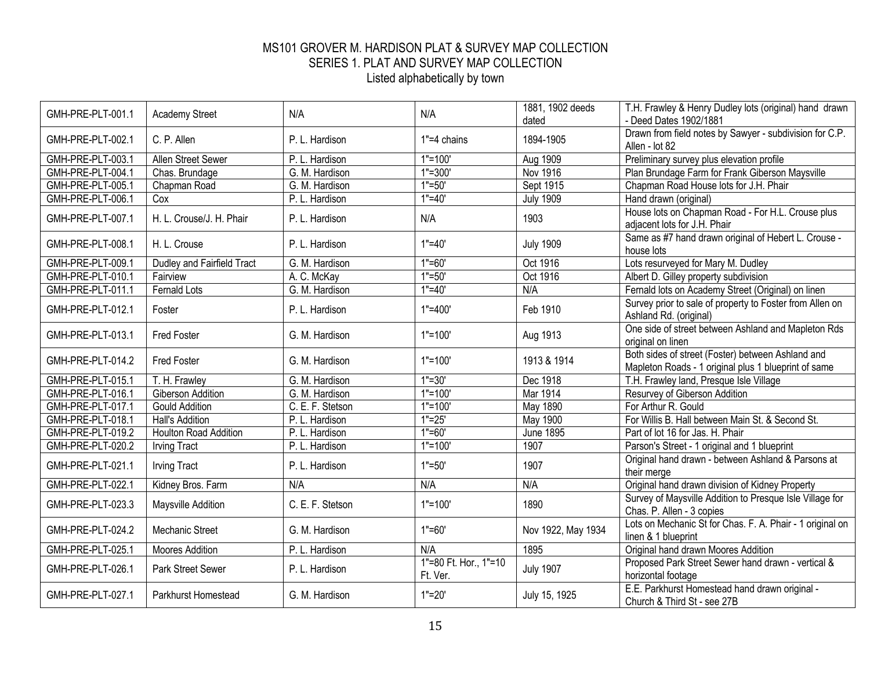| GMH-PRE-PLT-001.1 | <b>Academy Street</b>        | N/A              | N/A                               | 1881, 1902 deeds<br>dated | T.H. Frawley & Henry Dudley lots (original) hand drawn<br>- Deed Dates 1902/1881                          |
|-------------------|------------------------------|------------------|-----------------------------------|---------------------------|-----------------------------------------------------------------------------------------------------------|
| GMH-PRE-PLT-002.1 | C. P. Allen                  | P. L. Hardison   | $1" = 4$ chains                   | 1894-1905                 | Drawn from field notes by Sawyer - subdivision for C.P.<br>Allen - lot 82                                 |
| GMH-PRE-PLT-003.1 | <b>Allen Street Sewer</b>    | P. L. Hardison   | $1"=100"$                         | Aug 1909                  | Preliminary survey plus elevation profile                                                                 |
| GMH-PRE-PLT-004.1 | Chas. Brundage               | G. M. Hardison   | $1" = 300'$                       | Nov 1916                  | Plan Brundage Farm for Frank Giberson Maysville                                                           |
| GMH-PRE-PLT-005.1 | Chapman Road                 | G. M. Hardison   | $1" = 50'$                        | Sept 1915                 | Chapman Road House lots for J.H. Phair                                                                    |
| GMH-PRE-PLT-006.1 | Cox                          | P. L. Hardison   | $1" = 40'$                        | <b>July 1909</b>          | Hand drawn (original)                                                                                     |
| GMH-PRE-PLT-007.1 | H. L. Crouse/J. H. Phair     | P. L. Hardison   | N/A                               | 1903                      | House lots on Chapman Road - For H.L. Crouse plus<br>adjacent lots for J.H. Phair                         |
| GMH-PRE-PLT-008.1 | H. L. Crouse                 | P. L. Hardison   | $1" = 40'$                        | <b>July 1909</b>          | Same as #7 hand drawn original of Hebert L. Crouse -<br>house lots                                        |
| GMH-PRE-PLT-009.1 | Dudley and Fairfield Tract   | G. M. Hardison   | $1" = 60'$                        | Oct 1916                  | Lots resurveyed for Mary M. Dudley                                                                        |
| GMH-PRE-PLT-010.1 | Fairview                     | A. C. McKay      | $1" = 50'$                        | Oct 1916                  | Albert D. Gilley property subdivision                                                                     |
| GMH-PRE-PLT-011.1 | Fernald Lots                 | G. M. Hardison   | $1" = 40'$                        | N/A                       | Fernald lots on Academy Street (Original) on linen                                                        |
| GMH-PRE-PLT-012.1 | Foster                       | P. L. Hardison   | $1" = 400'$                       | Feb 1910                  | Survey prior to sale of property to Foster from Allen on<br>Ashland Rd. (original)                        |
| GMH-PRE-PLT-013.1 | Fred Foster                  | G. M. Hardison   | $1" = 100'$                       | Aug 1913                  | One side of street between Ashland and Mapleton Rds<br>original on linen                                  |
| GMH-PRE-PLT-014.2 | <b>Fred Foster</b>           | G. M. Hardison   | $1" = 100'$                       | 1913 & 1914               | Both sides of street (Foster) between Ashland and<br>Mapleton Roads - 1 original plus 1 blueprint of same |
| GMH-PRE-PLT-015.1 | T. H. Frawley                | G. M. Hardison   | $1" = 30'$                        | Dec 1918                  | T.H. Frawley land, Presque Isle Village                                                                   |
| GMH-PRE-PLT-016.1 | <b>Giberson Addition</b>     | G. M. Hardison   | $1"=100'$                         | Mar 1914                  | Resurvey of Giberson Addition                                                                             |
| GMH-PRE-PLT-017.1 | <b>Gould Addition</b>        | C. E. F. Stetson | $1"=100"$                         | May 1890                  | For Arthur R. Gould                                                                                       |
| GMH-PRE-PLT-018.1 | Hall's Addition              | P. L. Hardison   | $1"=25"$                          | May 1900                  | For Willis B. Hall between Main St. & Second St.                                                          |
| GMH-PRE-PLT-019.2 | <b>Houlton Road Addition</b> | P. L. Hardison   | $1" = 60'$                        | <b>June 1895</b>          | Part of lot 16 for Jas. H. Phair                                                                          |
| GMH-PRE-PLT-020.2 | <b>Irving Tract</b>          | P. L. Hardison   | $1"=100"$                         | 1907                      | Parson's Street - 1 original and 1 blueprint                                                              |
| GMH-PRE-PLT-021.1 | <b>Irving Tract</b>          | P. L. Hardison   | $1" = 50'$                        | 1907                      | Original hand drawn - between Ashland & Parsons at<br>their merge                                         |
| GMH-PRE-PLT-022.1 | Kidney Bros. Farm            | N/A              | N/A                               | N/A                       | Original hand drawn division of Kidney Property                                                           |
| GMH-PRE-PLT-023.3 | Maysville Addition           | C. E. F. Stetson | $1" = 100'$                       | 1890                      | Survey of Maysville Addition to Presque Isle Village for<br>Chas. P. Allen - 3 copies                     |
| GMH-PRE-PLT-024.2 | Mechanic Street              | G. M. Hardison   | $1" = 60'$                        | Nov 1922, May 1934        | Lots on Mechanic St for Chas. F. A. Phair - 1 original on<br>linen & 1 blueprint                          |
| GMH-PRE-PLT-025.1 | <b>Moores Addition</b>       | P. L. Hardison   | N/A                               | 1895                      | Original hand drawn Moores Addition                                                                       |
| GMH-PRE-PLT-026.1 | <b>Park Street Sewer</b>     | P. L. Hardison   | 1"=80 Ft. Hor., 1"=10<br>Ft. Ver. | <b>July 1907</b>          | Proposed Park Street Sewer hand drawn - vertical &<br>horizontal footage                                  |
| GMH-PRE-PLT-027.1 | Parkhurst Homestead          | G. M. Hardison   | $1" = 20'$                        | July 15, 1925             | E.E. Parkhurst Homestead hand drawn original -<br>Church & Third St - see 27B                             |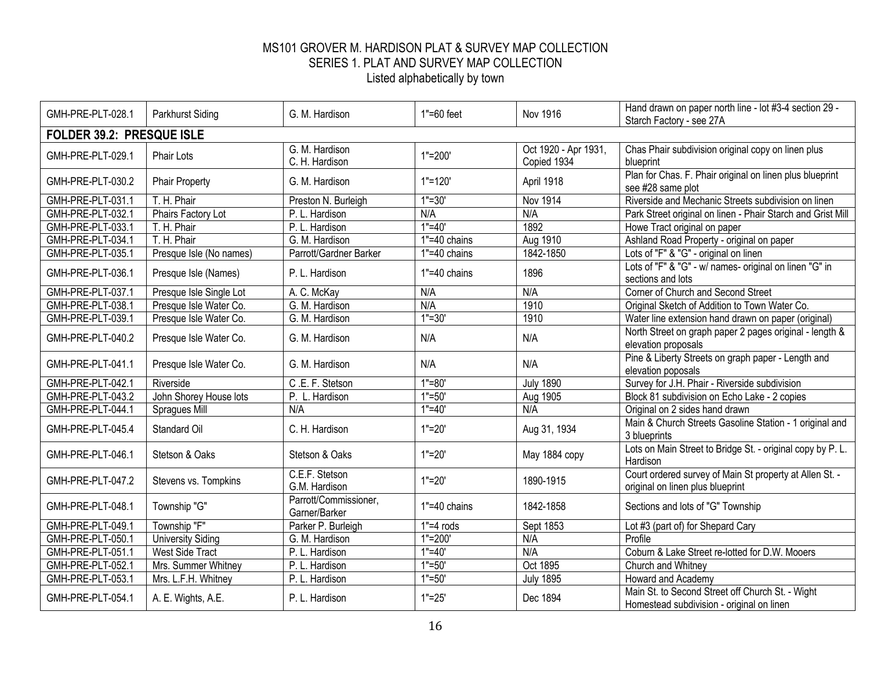| GMH-PRE-PLT-028.1 | Parkhurst Siding          | G. M. Hardison                         | $1" = 60$ feet       | <b>Nov 1916</b>                     | Hand drawn on paper north line - lot #3-4 section 29 -<br>Starch Factory - see 27A            |  |  |  |
|-------------------|---------------------------|----------------------------------------|----------------------|-------------------------------------|-----------------------------------------------------------------------------------------------|--|--|--|
|                   | FOLDER 39.2: PRESQUE ISLE |                                        |                      |                                     |                                                                                               |  |  |  |
| GMH-PRE-PLT-029.1 | Phair Lots                | G. M. Hardison<br>C. H. Hardison       | $1" = 200'$          | Oct 1920 - Apr 1931,<br>Copied 1934 | Chas Phair subdivision original copy on linen plus<br>blueprint                               |  |  |  |
| GMH-PRE-PLT-030.2 | <b>Phair Property</b>     | G. M. Hardison                         | $1"=120'$            | April 1918                          | Plan for Chas. F. Phair original on linen plus blueprint<br>see #28 same plot                 |  |  |  |
| GMH-PRE-PLT-031.1 | T. H. Phair               | Preston N. Burleigh                    | $\overline{1}$ "=30' | <b>Nov 1914</b>                     | Riverside and Mechanic Streets subdivision on linen                                           |  |  |  |
| GMH-PRE-PLT-032.1 | Phairs Factory Lot        | P. L. Hardison                         | N/A                  | N/A                                 | Park Street original on linen - Phair Starch and Grist Mill                                   |  |  |  |
| GMH-PRE-PLT-033.1 | T. H. Phair               | P. L. Hardison                         | $\overline{1}$ "=40' | 1892                                | Howe Tract original on paper                                                                  |  |  |  |
| GMH-PRE-PLT-034.1 | T. H. Phair               | G. M. Hardison                         | 1"=40 chains         | Aug 1910                            | Ashland Road Property - original on paper                                                     |  |  |  |
| GMH-PRE-PLT-035.1 | Presque Isle (No names)   | Parrott/Gardner Barker                 | $1" = 40$ chains     | 1842-1850                           | Lots of "F" & "G" - original on linen                                                         |  |  |  |
| GMH-PRE-PLT-036.1 | Presque Isle (Names)      | P. L. Hardison                         | $1" = 40$ chains     | 1896                                | Lots of "F" & "G" - w/ names- original on linen "G" in<br>sections and lots                   |  |  |  |
| GMH-PRE-PLT-037.1 | Presque Isle Single Lot   | A. C. McKay                            | N/A                  | N/A                                 | Corner of Church and Second Street                                                            |  |  |  |
| GMH-PRE-PLT-038.1 | Presque Isle Water Co.    | G. M. Hardison                         | N/A                  | 1910                                | Original Sketch of Addition to Town Water Co.                                                 |  |  |  |
| GMH-PRE-PLT-039.1 | Presque Isle Water Co.    | G. M. Hardison                         | $1" = 30'$           | 1910                                | Water line extension hand drawn on paper (original)                                           |  |  |  |
| GMH-PRE-PLT-040.2 | Presque Isle Water Co.    | G. M. Hardison                         | N/A                  | N/A                                 | North Street on graph paper 2 pages original - length &<br>elevation proposals                |  |  |  |
| GMH-PRE-PLT-041.1 | Presque Isle Water Co.    | G. M. Hardison                         | N/A                  | N/A                                 | Pine & Liberty Streets on graph paper - Length and<br>elevation poposals                      |  |  |  |
| GMH-PRE-PLT-042.1 | Riverside                 | C.E.F. Stetson                         | $1" = 80'$           | <b>July 1890</b>                    | Survey for J.H. Phair - Riverside subdivision                                                 |  |  |  |
| GMH-PRE-PLT-043.2 | John Shorey House lots    | P. L. Hardison                         | $1" = 50'$           | Aug 1905                            | Block 81 subdivision on Echo Lake - 2 copies                                                  |  |  |  |
| GMH-PRE-PLT-044.1 | Spragues Mill             | N/A                                    | $1" = 40'$           | N/A                                 | Original on 2 sides hand drawn                                                                |  |  |  |
| GMH-PRE-PLT-045.4 | Standard Oil              | C. H. Hardison                         | $1" = 20'$           | Aug 31, 1934                        | Main & Church Streets Gasoline Station - 1 original and<br>3 blueprints                       |  |  |  |
| GMH-PRE-PLT-046.1 | Stetson & Oaks            | Stetson & Oaks                         | $1" = 20'$           | May 1884 copy                       | Lots on Main Street to Bridge St. - original copy by P. L.<br>Hardison                        |  |  |  |
| GMH-PRE-PLT-047.2 | Stevens vs. Tompkins      | C.E.F. Stetson<br>G.M. Hardison        | $1" = 20'$           | 1890-1915                           | Court ordered survey of Main St property at Allen St. -<br>original on linen plus blueprint   |  |  |  |
| GMH-PRE-PLT-048.1 | Township "G"              | Parrott/Commissioner,<br>Garner/Barker | 1"=40 chains         | 1842-1858                           | Sections and lots of "G" Township                                                             |  |  |  |
| GMH-PRE-PLT-049.1 | Township "F"              | Parker P. Burleigh                     | $1" = 4$ rods        | Sept 1853                           | Lot #3 (part of) for Shepard Cary                                                             |  |  |  |
| GMH-PRE-PLT-050.1 | University Siding         | G. M. Hardison                         | $1" = 200'$          | N/A                                 | Profile                                                                                       |  |  |  |
| GMH-PRE-PLT-051.1 | <b>West Side Tract</b>    | P. L. Hardison                         | $1" = 40'$           | N/A                                 | Coburn & Lake Street re-lotted for D.W. Mooers                                                |  |  |  |
| GMH-PRE-PLT-052.1 | Mrs. Summer Whitney       | P. L. Hardison                         | $1" = 50'$           | Oct 1895                            | Church and Whitney                                                                            |  |  |  |
| GMH-PRE-PLT-053.1 | Mrs. L.F.H. Whitney       | P. L. Hardison                         | $1" = 50'$           | <b>July 1895</b>                    | Howard and Academy                                                                            |  |  |  |
| GMH-PRE-PLT-054.1 | A. E. Wights, A.E.        | P. L. Hardison                         | $1" = 25'$           | Dec 1894                            | Main St. to Second Street off Church St. - Wight<br>Homestead subdivision - original on linen |  |  |  |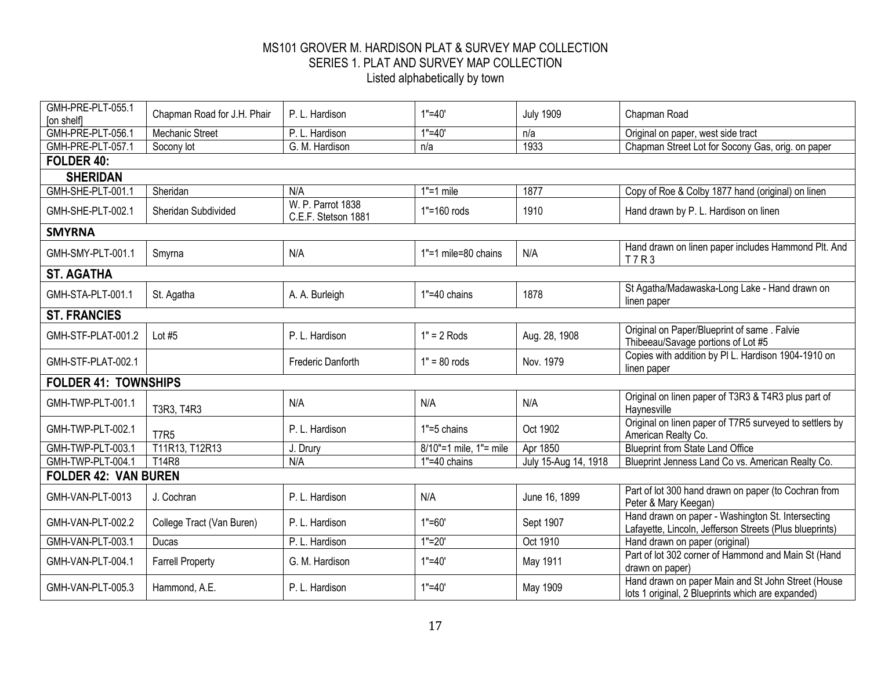| GMH-PRE-PLT-055.1<br>[on shelf] | Chapman Road for J.H. Phair | P. L. Hardison                           | $1" = 40'$             | <b>July 1909</b>     | Chapman Road                                                                                                 |  |  |
|---------------------------------|-----------------------------|------------------------------------------|------------------------|----------------------|--------------------------------------------------------------------------------------------------------------|--|--|
| GMH-PRE-PLT-056.1               | <b>Mechanic Street</b>      | P. L. Hardison                           | $1" = 40'$             | n/a                  | Original on paper, west side tract                                                                           |  |  |
| GMH-PRE-PLT-057.1               | Socony lot                  | G. M. Hardison                           | n/a                    | 1933                 | Chapman Street Lot for Socony Gas, orig. on paper                                                            |  |  |
| FOLDER 40:                      |                             |                                          |                        |                      |                                                                                                              |  |  |
| <b>SHERIDAN</b>                 |                             |                                          |                        |                      |                                                                                                              |  |  |
| GMH-SHE-PLT-001.1               | Sheridan                    | N/A                                      | $1"=1$ mile            | 1877                 | Copy of Roe & Colby 1877 hand (original) on linen                                                            |  |  |
| GMH-SHE-PLT-002.1               | <b>Sheridan Subdivided</b>  | W. P. Parrot 1838<br>C.E.F. Stetson 1881 | 1"=160 rods            | 1910                 | Hand drawn by P. L. Hardison on linen                                                                        |  |  |
| <b>SMYRNA</b>                   |                             |                                          |                        |                      |                                                                                                              |  |  |
| GMH-SMY-PLT-001.1               | Smyrna                      | N/A                                      | 1"=1 mile=80 chains    | N/A                  | Hand drawn on linen paper includes Hammond Plt. And<br><b>T7R3</b>                                           |  |  |
| <b>ST. AGATHA</b>               |                             |                                          |                        |                      |                                                                                                              |  |  |
| GMH-STA-PLT-001.1               | St. Agatha                  | A. A. Burleigh                           | $1" = 40$ chains       | 1878                 | St Agatha/Madawaska-Long Lake - Hand drawn on<br>linen paper                                                 |  |  |
| <b>ST. FRANCIES</b>             |                             |                                          |                        |                      |                                                                                                              |  |  |
| GMH-STF-PLAT-001.2              | Lot $#5$                    | P. L. Hardison                           | $1" = 2$ Rods          | Aug. 28, 1908        | Original on Paper/Blueprint of same . Falvie<br>Thibeeau/Savage portions of Lot #5                           |  |  |
| GMH-STF-PLAT-002.1              |                             | Frederic Danforth                        | $1" = 80$ rods         | Nov. 1979            | Copies with addition by PI L. Hardison 1904-1910 on<br>linen paper                                           |  |  |
| <b>FOLDER 41: TOWNSHIPS</b>     |                             |                                          |                        |                      |                                                                                                              |  |  |
| GMH-TWP-PLT-001.1               | T3R3, T4R3                  | N/A                                      | N/A                    | N/A                  | Original on linen paper of T3R3 & T4R3 plus part of<br>Haynesville                                           |  |  |
| GMH-TWP-PLT-002.1               | <b>T7R5</b>                 | P. L. Hardison                           | 1"=5 chains            | Oct 1902             | Original on linen paper of T7R5 surveyed to settlers by<br>American Realty Co.                               |  |  |
| GMH-TWP-PLT-003.1               | T11R13, T12R13              | J. Drury                                 | 8/10"=1 mile, 1"= mile | Apr 1850             | <b>Blueprint from State Land Office</b>                                                                      |  |  |
| GMH-TWP-PLT-004.1               | T14R8                       | N/A                                      | 1"=40 chains           | July 15-Aug 14, 1918 | Blueprint Jenness Land Co vs. American Realty Co.                                                            |  |  |
| <b>FOLDER 42: VAN BUREN</b>     |                             |                                          |                        |                      |                                                                                                              |  |  |
| GMH-VAN-PLT-0013                | J. Cochran                  | P. L. Hardison                           | N/A                    | June 16, 1899        | Part of lot 300 hand drawn on paper (to Cochran from<br>Peter & Mary Keegan)                                 |  |  |
| GMH-VAN-PLT-002.2               | College Tract (Van Buren)   | P. L. Hardison                           | $1" = 60'$             | Sept 1907            | Hand drawn on paper - Washington St. Intersecting<br>Lafayette, Lincoln, Jefferson Streets (Plus blueprints) |  |  |
| GMH-VAN-PLT-003.1               | Ducas                       | P. L. Hardison                           | $1"=20'$               | Oct 1910             | Hand drawn on paper (original)                                                                               |  |  |
| GMH-VAN-PLT-004.1               | <b>Farrell Property</b>     | G. M. Hardison                           | $1" = 40'$             | May 1911             | Part of lot 302 corner of Hammond and Main St (Hand<br>drawn on paper)                                       |  |  |
| GMH-VAN-PLT-005.3               | Hammond, A.E.               | P. L. Hardison                           | $1" = 40'$             | May 1909             | Hand drawn on paper Main and St John Street (House<br>lots 1 original, 2 Blueprints which are expanded)      |  |  |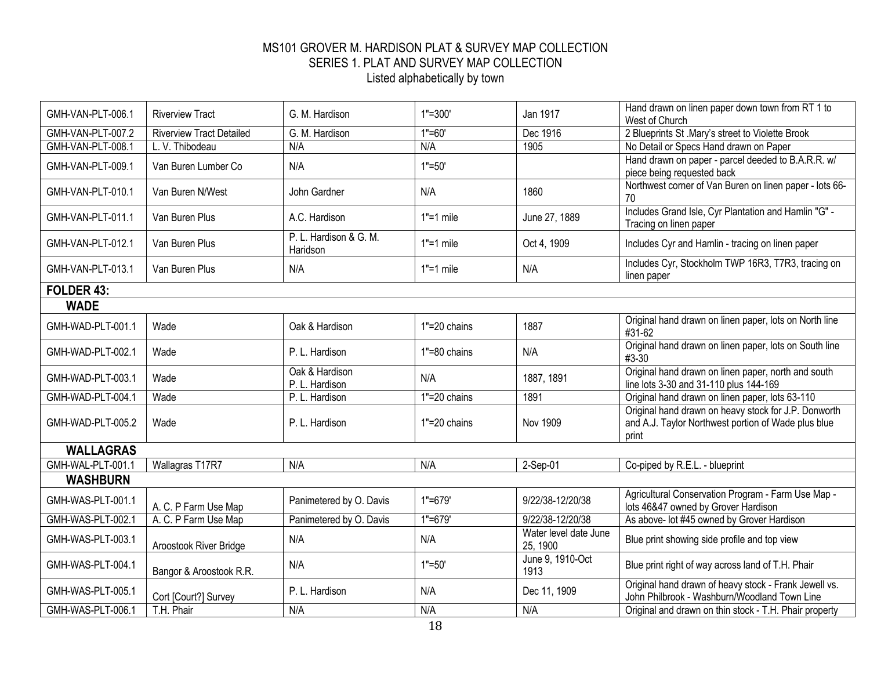| GMH-VAN-PLT-006.1 | <b>Riverview Tract</b>          | G. M. Hardison                     | $1" = 300'$   | Jan 1917                          | Hand drawn on linen paper down town from RT 1 to<br>West of Church                                                   |
|-------------------|---------------------------------|------------------------------------|---------------|-----------------------------------|----------------------------------------------------------------------------------------------------------------------|
| GMH-VAN-PLT-007.2 | <b>Riverview Tract Detailed</b> | G. M. Hardison                     | $1" = 60'$    | Dec 1916                          | 2 Blueprints St .Mary's street to Violette Brook                                                                     |
| GMH-VAN-PLT-008.1 | L. V. Thibodeau                 | N/A                                | N/A           | 1905                              | No Detail or Specs Hand drawn on Paper                                                                               |
| GMH-VAN-PLT-009.1 | Van Buren Lumber Co             | N/A                                | $1" = 50'$    |                                   | Hand drawn on paper - parcel deeded to B.A.R.R. w/<br>piece being requested back                                     |
| GMH-VAN-PLT-010.1 | Van Buren N/West                | John Gardner                       | N/A           | 1860                              | Northwest corner of Van Buren on linen paper - lots 66-<br>70                                                        |
| GMH-VAN-PLT-011.1 | Van Buren Plus                  | A.C. Hardison                      | $1"=1$ mile   | June 27, 1889                     | Includes Grand Isle, Cyr Plantation and Hamlin "G" -<br>Tracing on linen paper                                       |
| GMH-VAN-PLT-012.1 | Van Buren Plus                  | P. L. Hardison & G. M.<br>Haridson | $1" = 1$ mile | Oct 4, 1909                       | Includes Cyr and Hamlin - tracing on linen paper                                                                     |
| GMH-VAN-PLT-013.1 | Van Buren Plus                  | N/A                                | $1" = 1$ mile | N/A                               | Includes Cyr, Stockholm TWP 16R3, T7R3, tracing on<br>linen paper                                                    |
| FOLDER 43:        |                                 |                                    |               |                                   |                                                                                                                      |
| <b>WADE</b>       |                                 |                                    |               |                                   |                                                                                                                      |
| GMH-WAD-PLT-001.1 | Wade                            | Oak & Hardison                     | 1"=20 chains  | 1887                              | Original hand drawn on linen paper, lots on North line<br>#31-62                                                     |
| GMH-WAD-PLT-002.1 | Wade                            | P. L. Hardison                     | 1"=80 chains  | N/A                               | Original hand drawn on linen paper, lots on South line<br>$#3-30$                                                    |
| GMH-WAD-PLT-003.1 | Wade                            | Oak & Hardison<br>P. L. Hardison   | N/A           | 1887, 1891                        | Original hand drawn on linen paper, north and south<br>line lots 3-30 and 31-110 plus 144-169                        |
| GMH-WAD-PLT-004.1 | Wade                            | P. L. Hardison                     | 1"=20 chains  | 1891                              | Original hand drawn on linen paper, lots 63-110                                                                      |
| GMH-WAD-PLT-005.2 | Wade                            | P. L. Hardison                     | 1"=20 chains  | <b>Nov 1909</b>                   | Original hand drawn on heavy stock for J.P. Donworth<br>and A.J. Taylor Northwest portion of Wade plus blue<br>print |
| <b>WALLAGRAS</b>  |                                 |                                    |               |                                   |                                                                                                                      |
| GMH-WAL-PLT-001.1 | Wallagras T17R7                 | N/A                                | N/A           | 2-Sep-01                          | Co-piped by R.E.L. - blueprint                                                                                       |
| <b>WASHBURN</b>   |                                 |                                    |               |                                   |                                                                                                                      |
| GMH-WAS-PLT-001.1 | A. C. P Farm Use Map            | Panimetered by O. Davis            | 1"=679'       | 9/22/38-12/20/38                  | Agricultural Conservation Program - Farm Use Map -<br>lots 46&47 owned by Grover Hardison                            |
| GMH-WAS-PLT-002.1 | A. C. P Farm Use Map            | Panimetered by O. Davis            | $1" = 679'$   | 9/22/38-12/20/38                  | As above- lot #45 owned by Grover Hardison                                                                           |
| GMH-WAS-PLT-003.1 | Aroostook River Bridge          | N/A                                | N/A           | Water level date June<br>25, 1900 | Blue print showing side profile and top view                                                                         |
| GMH-WAS-PLT-004.1 | Bangor & Aroostook R.R.         | N/A                                | $1" = 50'$    | June 9, 1910-Oct<br>1913          | Blue print right of way across land of T.H. Phair                                                                    |
| GMH-WAS-PLT-005.1 | Cort [Court?] Survey            | P. L. Hardison                     | N/A           | Dec 11, 1909                      | Original hand drawn of heavy stock - Frank Jewell vs.<br>John Philbrook - Washburn/Woodland Town Line                |
| GMH-WAS-PLT-006.1 | T.H. Phair                      | N/A                                | N/A           | N/A                               | Original and drawn on thin stock - T.H. Phair property                                                               |